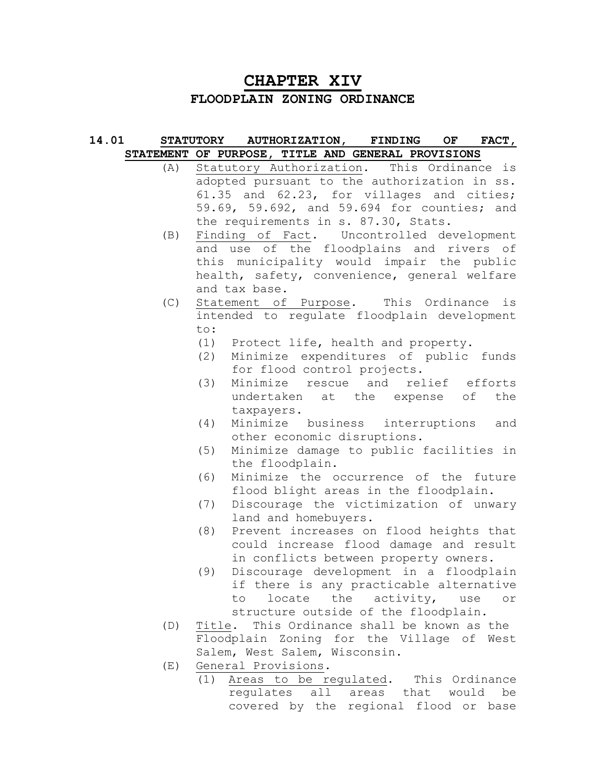# **CHAPTER XIV FLOODPLAIN ZONING ORDINANCE**

#### **14.01 STATUTORY AUTHORIZATION, FINDING OF FACT, STATEMENT OF PURPOSE, TITLE AND GENERAL PROVISIONS**

- (A) Statutory Authorization. This Ordinance is adopted pursuant to the authorization in ss. 61.35 and 62.23, for villages and cities; 59.69, 59.692, and 59.694 for counties; and the requirements in s. 87.30, Stats.
- (B) Finding of Fact. Uncontrolled development and use of the floodplains and rivers of this municipality would impair the public health, safety, convenience, general welfare and tax base.
- (C) Statement of Purpose. This Ordinance is intended to regulate floodplain development to:
	- (1) Protect life, health and property.
	- (2) Minimize expenditures of public funds for flood control projects.
	- (3) Minimize rescue and relief efforts undertaken at the expense of the taxpayers.
	- (4) Minimize business interruptions and other economic disruptions.
	- (5) Minimize damage to public facilities in the floodplain.
	- (6) Minimize the occurrence of the future flood blight areas in the floodplain.
	- (7) Discourage the victimization of unwary land and homebuyers.
	- (8) Prevent increases on flood heights that could increase flood damage and result in conflicts between property owners.
	- (9) Discourage development in a floodplain if there is any practicable alternative to locate the activity, use or structure outside of the floodplain.
- (D) Title. This Ordinance shall be known as the Floodplain Zoning for the Village of West Salem, West Salem, Wisconsin.
- (E) General Provisions.
	- (1) Areas to be regulated. This Ordinance regulates all areas that would be covered by the regional flood or base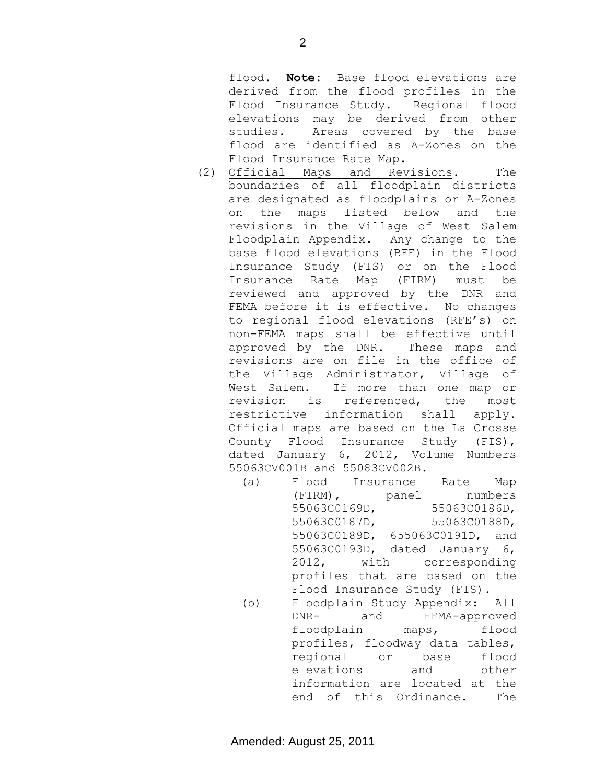flood. **Note:** Base flood elevations are derived from the flood profiles in the Flood Insurance Study. Regional flood elevations may be derived from other studies. Areas covered by the base flood are identified as A-Zones on the Flood Insurance Rate Map.

- (2) Official Maps and Revisions. The boundaries of all floodplain districts are designated as floodplains or A-Zones on the maps listed below and the revisions in the Village of West Salem Floodplain Appendix. Any change to the base flood elevations (BFE) in the Flood Insurance Study (FIS) or on the Flood Insurance Rate Map (FIRM) must be reviewed and approved by the DNR and FEMA before it is effective. No changes to regional flood elevations (RFE's) on non-FEMA maps shall be effective until approved by the DNR. These maps and revisions are on file in the office of the Village Administrator, Village of West Salem. If more than one map or revision is referenced, the most restrictive information shall apply. Official maps are based on the La Crosse County Flood Insurance Study (FIS), dated January 6, 2012, Volume Numbers 55063CV001B and 55083CV002B.
	- (a) Flood Insurance Rate Map (FIRM), panel numbers 55063C0169D, 55063C0186D, 55063C0187D, 55063C0188D, 55063C0189D, 655063C0191D, and 55063C0193D, dated January 6, 2012, with corresponding profiles that are based on the Flood Insurance Study (FIS). (b) Floodplain Study Appendix: All DNR- and FEMA-approved floodplain maps, flood profiles, floodway data tables, regional or base flood elevations and other information are located at the end of this Ordinance. The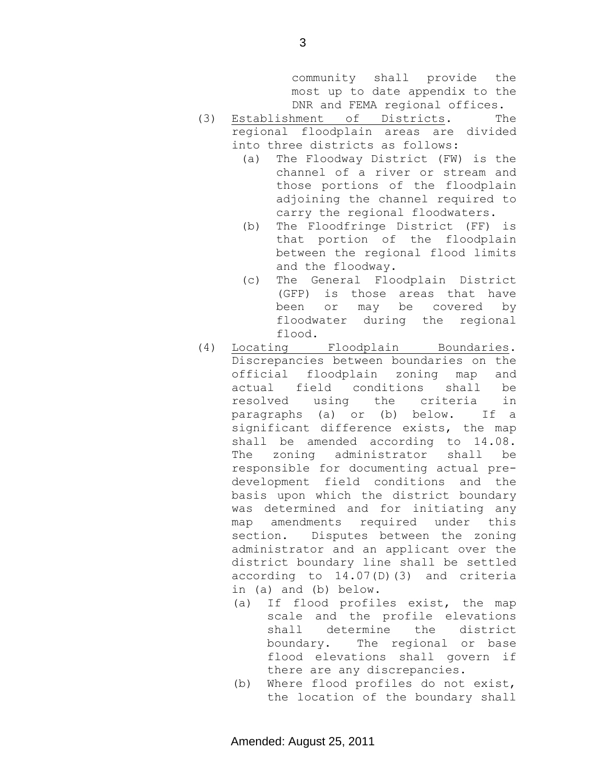community shall provide the most up to date appendix to the DNR and FEMA regional offices.

- (3) Establishment of Districts. The regional floodplain areas are divided into three districts as follows:
	- (a) The Floodway District (FW) is the channel of a river or stream and those portions of the floodplain adjoining the channel required to carry the regional floodwaters.
	- (b) The Floodfringe District (FF) is that portion of the floodplain between the regional flood limits and the floodway.
	- (c) The General Floodplain District (GFP) is those areas that have been or may be covered by floodwater during the regional flood.
- (4) Locating Floodplain Boundaries. Discrepancies between boundaries on the official floodplain zoning map and actual field conditions shall be resolved using the criteria in paragraphs (a) or (b) below. If a significant difference exists, the map shall be amended according to 14.08. The zoning administrator shall be responsible for documenting actual predevelopment field conditions and the basis upon which the district boundary was determined and for initiating any map amendments required under this section. Disputes between the zoning administrator and an applicant over the district boundary line shall be settled according to 14.07(D)(3) and criteria in (a) and (b) below.
	- (a) If flood profiles exist, the map scale and the profile elevations shall determine the district boundary. The regional or base flood elevations shall govern if there are any discrepancies.
	- (b) Where flood profiles do not exist, the location of the boundary shall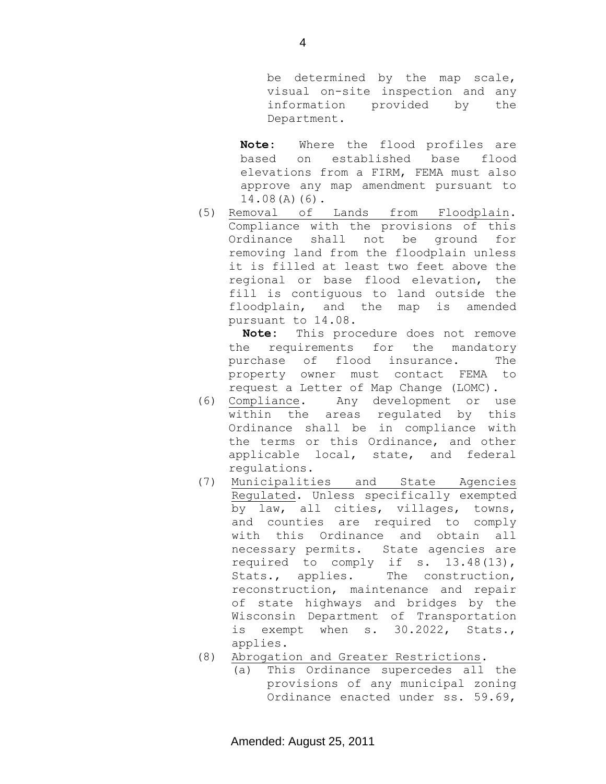be determined by the map scale, visual on-site inspection and any information provided by the Department.

**Note:** Where the flood profiles are based on established base flood elevations from a FIRM, FEMA must also approve any map amendment pursuant to 14.08(A)(6).

(5) Removal of Lands from Floodplain. Compliance with the provisions of this Ordinance shall not be ground for removing land from the floodplain unless it is filled at least two feet above the regional or base flood elevation, the fill is contiguous to land outside the floodplain, and the map is amended pursuant to 14.08.

 **Note:** This procedure does not remove the requirements for the mandatory purchase of flood insurance. The property owner must contact FEMA to request a Letter of Map Change (LOMC).

- (6) Compliance. Any development or use within the areas regulated by this Ordinance shall be in compliance with the terms or this Ordinance, and other applicable local, state, and federal regulations.
- (7) Municipalities and State Agencies Regulated. Unless specifically exempted by law, all cities, villages, towns, and counties are required to comply with this Ordinance and obtain all necessary permits. State agencies are required to comply if s. 13.48(13), Stats., applies. The construction, reconstruction, maintenance and repair of state highways and bridges by the Wisconsin Department of Transportation is exempt when s. 30.2022, Stats., applies.
- (8) Abrogation and Greater Restrictions.
	- (a) This Ordinance supercedes all the provisions of any municipal zoning Ordinance enacted under ss. 59.69,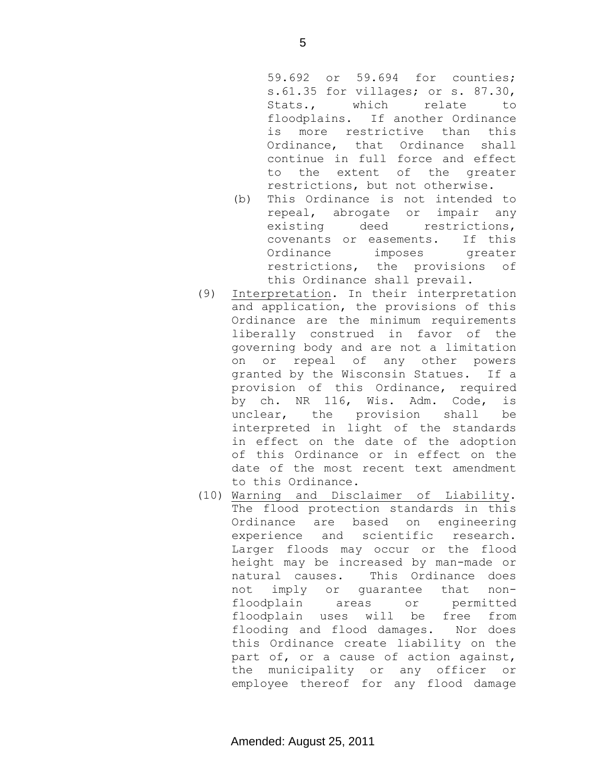59.692 or 59.694 for counties; s.61.35 for villages; or s. 87.30, Stats., which relate to floodplains. If another Ordinance is more restrictive than this Ordinance, that Ordinance shall continue in full force and effect to the extent of the greater restrictions, but not otherwise.

- (b) This Ordinance is not intended to repeal, abrogate or impair any existing deed restrictions, covenants or easements. If this Ordinance imposes greater restrictions, the provisions of this Ordinance shall prevail.
- (9) Interpretation. In their interpretation and application, the provisions of this Ordinance are the minimum requirements liberally construed in favor of the governing body and are not a limitation on or repeal of any other powers granted by the Wisconsin Statues. If a provision of this Ordinance, required by ch. NR 116, Wis. Adm. Code, is unclear, the provision shall be interpreted in light of the standards in effect on the date of the adoption of this Ordinance or in effect on the date of the most recent text amendment to this Ordinance.
- (10) Warning and Disclaimer of Liability. The flood protection standards in this Ordinance are based on engineering experience and scientific research. Larger floods may occur or the flood height may be increased by man-made or natural causes. This Ordinance does not imply or guarantee that nonfloodplain areas or permitted floodplain uses will be free from flooding and flood damages. Nor does this Ordinance create liability on the part of, or a cause of action against, the municipality or any officer or employee thereof for any flood damage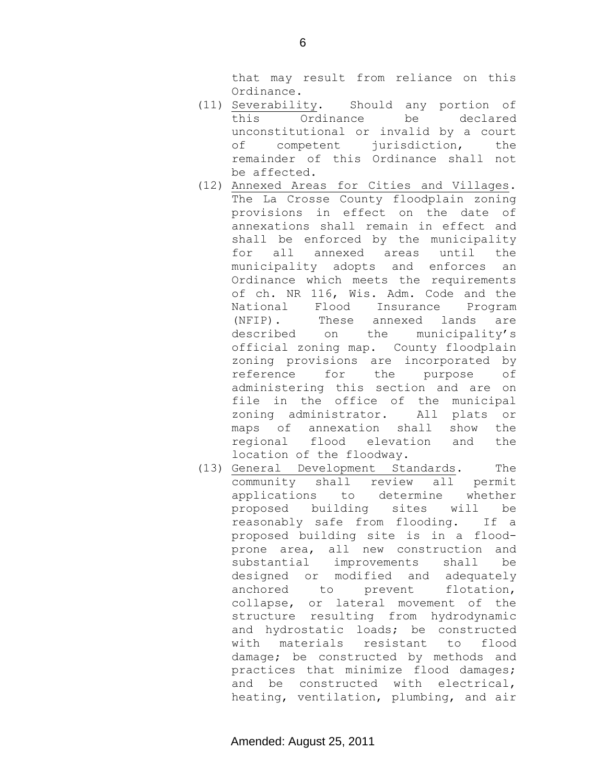that may result from reliance on this Ordinance.

- (11) Severability. Should any portion of this Ordinance be declared unconstitutional or invalid by a court of competent jurisdiction, the remainder of this Ordinance shall not be affected.
- (12) Annexed Areas for Cities and Villages. The La Crosse County floodplain zoning provisions in effect on the date of annexations shall remain in effect and shall be enforced by the municipality for all annexed areas until the municipality adopts and enforces an Ordinance which meets the requirements of ch. NR 116, Wis. Adm. Code and the National Flood Insurance Program (NFIP). These annexed lands are described on the municipality's official zoning map. County floodplain zoning provisions are incorporated by reference for the purpose of administering this section and are on file in the office of the municipal zoning administrator. All plats or maps of annexation shall show the regional flood elevation and the location of the floodway.
- (13) General Development Standards. The community shall review all permit applications to determine whether proposed building sites will be reasonably safe from flooding. If a proposed building site is in a floodprone area, all new construction and substantial improvements shall be designed or modified and adequately anchored to prevent flotation, collapse, or lateral movement of the structure resulting from hydrodynamic and hydrostatic loads; be constructed with materials resistant to flood damage; be constructed by methods and practices that minimize flood damages; and be constructed with electrical, heating, ventilation, plumbing, and air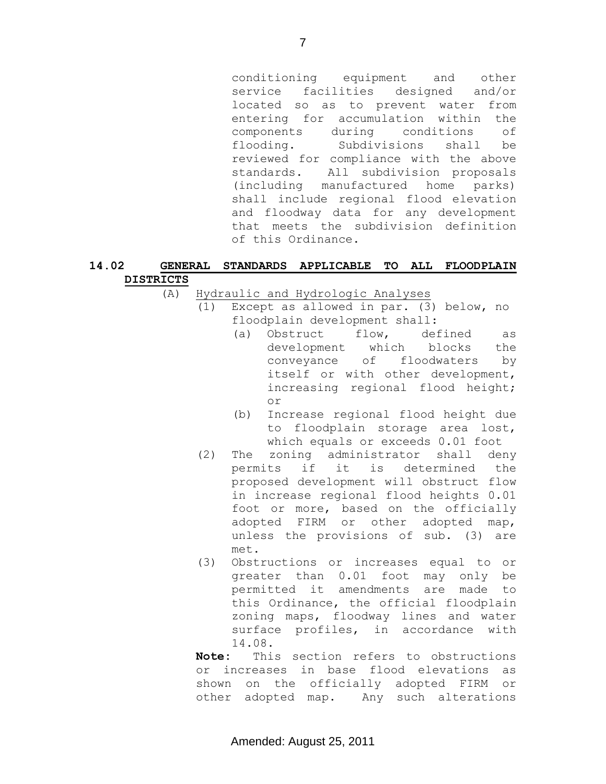conditioning equipment and other service facilities designed and/or located so as to prevent water from entering for accumulation within the components during conditions of flooding. Subdivisions shall be reviewed for compliance with the above standards. All subdivision proposals (including manufactured home parks) shall include regional flood elevation and floodway data for any development that meets the subdivision definition of this Ordinance.

# **14.02 GENERAL STANDARDS APPLICABLE TO ALL FLOODPLAIN DISTRICTS**

(A) Hydraulic and Hydrologic Analyses

- (1) Except as allowed in par. (3) below, no floodplain development shall:
	- (a) Obstruct flow, defined as development which blocks the conveyance of floodwaters by itself or with other development, increasing regional flood height; or
	- (b) Increase regional flood height due to floodplain storage area lost, which equals or exceeds 0.01 foot
- (2) The zoning administrator shall deny permits if it is determined the proposed development will obstruct flow in increase regional flood heights 0.01 foot or more, based on the officially adopted FIRM or other adopted map, unless the provisions of sub. (3) are met.
- (3) Obstructions or increases equal to or greater than 0.01 foot may only be permitted it amendments are made to this Ordinance, the official floodplain zoning maps, floodway lines and water surface profiles, in accordance with 14.08.

**Note:** This section refers to obstructions or increases in base flood elevations as shown on the officially adopted FIRM or other adopted map. Any such alterations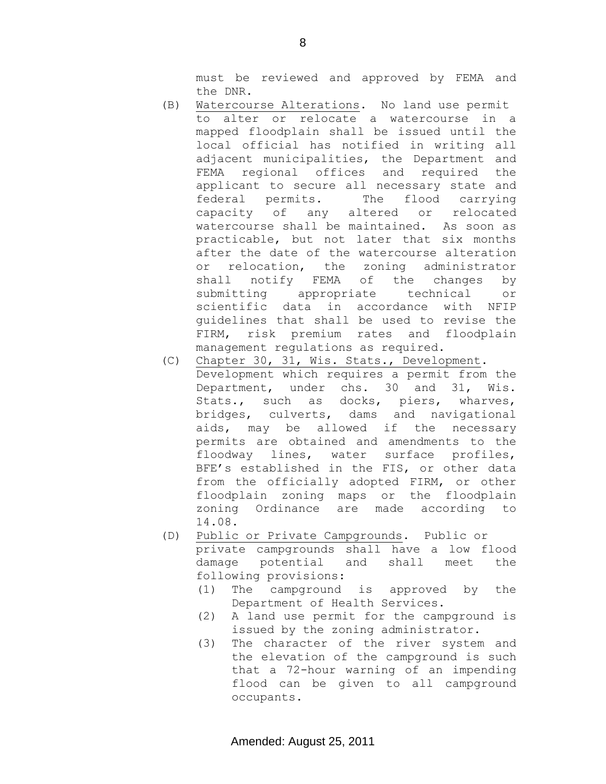must be reviewed and approved by FEMA and the DNR.

- (B) Watercourse Alterations. No land use permit to alter or relocate a watercourse in a mapped floodplain shall be issued until the local official has notified in writing all adjacent municipalities, the Department and FEMA regional offices and required the applicant to secure all necessary state and federal permits. The flood carrying capacity of any altered or relocated watercourse shall be maintained. As soon as practicable, but not later that six months after the date of the watercourse alteration or relocation, the zoning administrator shall notify FEMA of the changes by submitting appropriate technical or scientific data in accordance with NFIP guidelines that shall be used to revise the FIRM, risk premium rates and floodplain management regulations as required.
- (C) Chapter 30, 31, Wis. Stats., Development. Development which requires a permit from the Department, under chs. 30 and 31, Wis. Stats., such as docks, piers, wharves, bridges, culverts, dams and navigational aids, may be allowed if the necessary permits are obtained and amendments to the floodway lines, water surface profiles, BFE's established in the FIS, or other data from the officially adopted FIRM, or other floodplain zoning maps or the floodplain zoning Ordinance are made according to 14.08.
- (D) Public or Private Campgrounds. Public or private campgrounds shall have a low flood damage potential and shall meet the following provisions:
	- (1) The campground is approved by the Department of Health Services.
	- (2) A land use permit for the campground is issued by the zoning administrator.
	- (3) The character of the river system and the elevation of the campground is such that a 72-hour warning of an impending flood can be given to all campground occupants.

8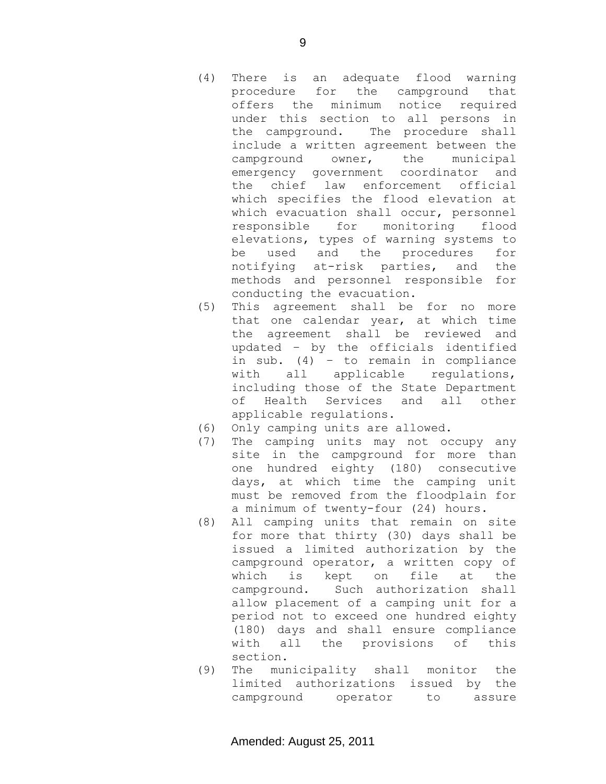- (4) There is an adequate flood warning procedure for the campground that offers the minimum notice required under this section to all persons in the campground. The procedure shall include a written agreement between the campground owner, the municipal emergency government coordinator and the chief law enforcement official which specifies the flood elevation at which evacuation shall occur, personnel responsible for monitoring flood elevations, types of warning systems to be used and the procedures for notifying at-risk parties, and the methods and personnel responsible for conducting the evacuation.
- (5) This agreement shall be for no more that one calendar year, at which time the agreement shall be reviewed and updated – by the officials identified in sub. (4) – to remain in compliance with all applicable regulations, including those of the State Department of Health Services and all other applicable regulations.
- (6) Only camping units are allowed.
- (7) The camping units may not occupy any site in the campground for more than one hundred eighty (180) consecutive days, at which time the camping unit must be removed from the floodplain for a minimum of twenty-four (24) hours.
- (8) All camping units that remain on site for more that thirty (30) days shall be issued a limited authorization by the campground operator, a written copy of which is kept on file at the campground. Such authorization shall allow placement of a camping unit for a period not to exceed one hundred eighty (180) days and shall ensure compliance with all the provisions of this section.
- (9) The municipality shall monitor the limited authorizations issued by the campground operator to assure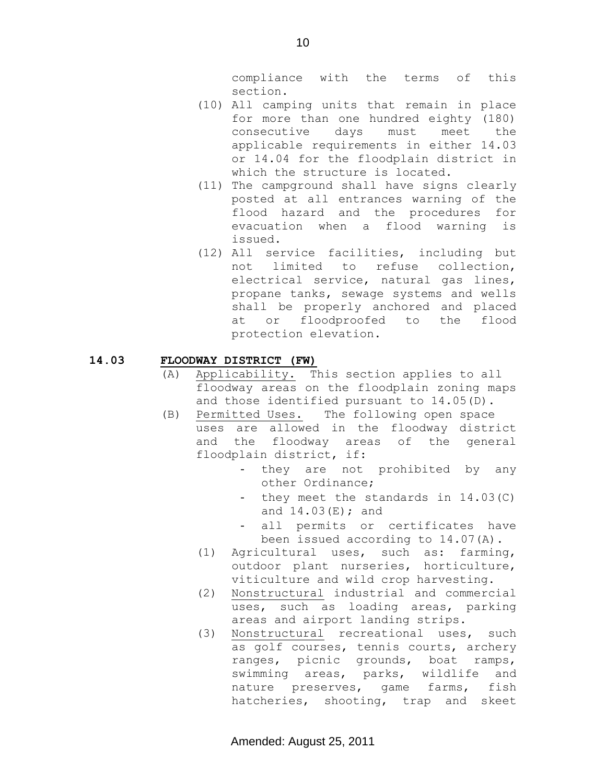compliance with the terms of this section.

- (10) All camping units that remain in place for more than one hundred eighty (180) consecutive days must meet the applicable requirements in either 14.03 or 14.04 for the floodplain district in which the structure is located.
- (11) The campground shall have signs clearly posted at all entrances warning of the flood hazard and the procedures for evacuation when a flood warning is issued.
- (12) All service facilities, including but not limited to refuse collection, electrical service, natural gas lines, propane tanks, sewage systems and wells shall be properly anchored and placed at or floodproofed to the flood protection elevation.

### **14.03 FLOODWAY DISTRICT (FW)**

- (A) Applicability. This section applies to all floodway areas on the floodplain zoning maps and those identified pursuant to 14.05(D).
- (B) Permitted Uses. The following open space uses are allowed in the floodway district and the floodway areas of the general floodplain district, if:
	- they are not prohibited by any other Ordinance;
	- they meet the standards in 14.03(C) and  $14.03(E)$ ; and
	- all permits or certificates have been issued according to 14.07(A).
	- (1) Agricultural uses, such as: farming, outdoor plant nurseries, horticulture, viticulture and wild crop harvesting.
	- (2) Nonstructural industrial and commercial uses, such as loading areas, parking areas and airport landing strips.
	- (3) Nonstructural recreational uses, such as golf courses, tennis courts, archery ranges, picnic grounds, boat ramps, swimming areas, parks, wildlife and nature preserves, game farms, fish hatcheries, shooting, trap and skeet

10

Amended: August 25, 2011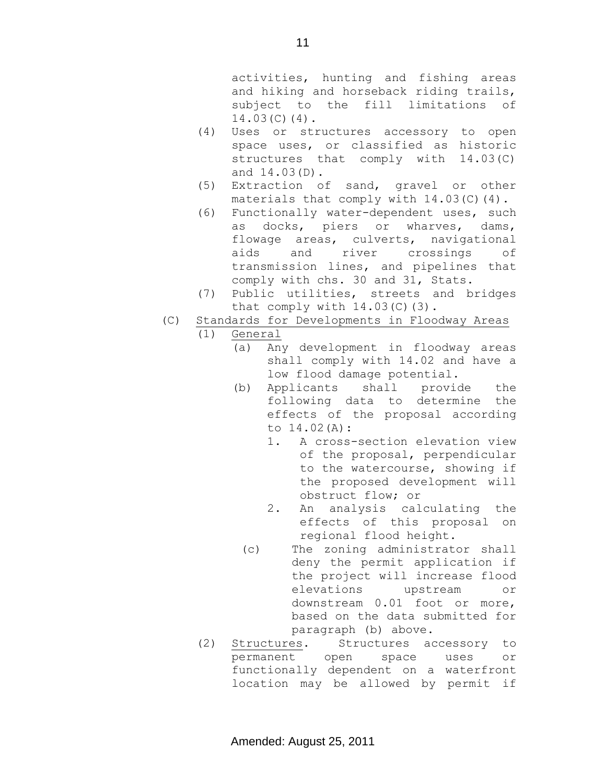activities, hunting and fishing areas and hiking and horseback riding trails, subject to the fill limitations of 14.03(C)(4).

- (4) Uses or structures accessory to open space uses, or classified as historic structures that comply with 14.03(C) and 14.03(D).
- (5) Extraction of sand, gravel or other materials that comply with 14.03(C)(4).
- (6) Functionally water-dependent uses, such as docks, piers or wharves, dams, flowage areas, culverts, navigational aids and river crossings of transmission lines, and pipelines that comply with chs. 30 and 31, Stats.
- (7) Public utilities, streets and bridges that comply with 14.03(C)(3).
- (C) Standards for Developments in Floodway Areas

## (1) General

- (a) Any development in floodway areas shall comply with 14.02 and have a low flood damage potential.
- (b) Applicants shall provide the following data to determine the effects of the proposal according to 14.02(A):
	- 1. A cross-section elevation view of the proposal, perpendicular to the watercourse, showing if the proposed development will obstruct flow; or
	- 2. An analysis calculating the effects of this proposal on regional flood height.
	- (c) The zoning administrator shall deny the permit application if the project will increase flood elevations upstream or downstream 0.01 foot or more, based on the data submitted for paragraph (b) above.
- (2) Structures. Structures accessory to permanent open space uses or functionally dependent on a waterfront location may be allowed by permit if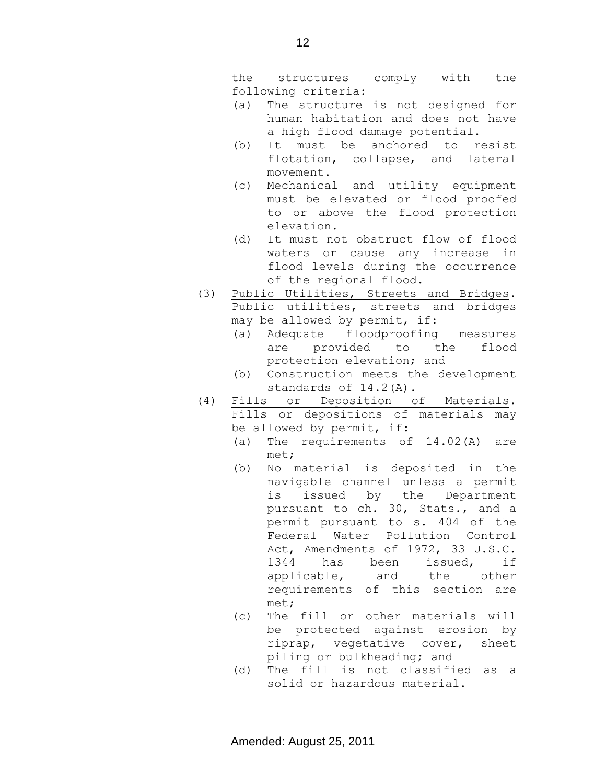the structures comply with the following criteria:

- (a) The structure is not designed for human habitation and does not have a high flood damage potential.
- (b) It must be anchored to resist flotation, collapse, and lateral movement.
- (c) Mechanical and utility equipment must be elevated or flood proofed to or above the flood protection elevation.
- (d) It must not obstruct flow of flood waters or cause any increase in flood levels during the occurrence of the regional flood.
- (3) Public Utilities, Streets and Bridges. Public utilities, streets and bridges may be allowed by permit, if:
	- (a) Adequate floodproofing measures are provided to the flood protection elevation; and
	- (b) Construction meets the development standards of 14.2(A).
- (4) Fills or Deposition of Materials. Fills or depositions of materials may be allowed by permit, if:
	- (a) The requirements of 14.02(A) are met;
	- (b) No material is deposited in the navigable channel unless a permit is issued by the Department pursuant to ch. 30, Stats., and a permit pursuant to s. 404 of the Federal Water Pollution Control Act, Amendments of 1972, 33 U.S.C. 1344 has been issued, if applicable, and the other requirements of this section are met;
	- (c) The fill or other materials will be protected against erosion by riprap, vegetative cover, sheet piling or bulkheading; and
	- (d) The fill is not classified as a solid or hazardous material.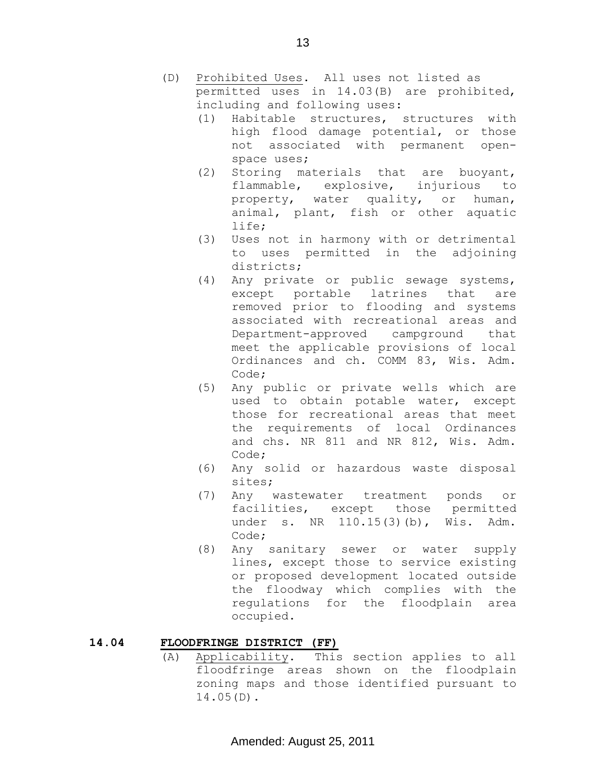- (D) Prohibited Uses. All uses not listed as permitted uses in 14.03(B) are prohibited, including and following uses:
	- (1) Habitable structures, structures with high flood damage potential, or those not associated with permanent openspace uses;
	- (2) Storing materials that are buoyant, flammable, explosive, injurious to property, water quality, or human, animal, plant, fish or other aquatic life;
	- (3) Uses not in harmony with or detrimental to uses permitted in the adjoining districts;
	- (4) Any private or public sewage systems, except portable latrines that are removed prior to flooding and systems associated with recreational areas and Department-approved campground that meet the applicable provisions of local Ordinances and ch. COMM 83, Wis. Adm. Code;
	- (5) Any public or private wells which are used to obtain potable water, except those for recreational areas that meet the requirements of local Ordinances and chs. NR 811 and NR 812, Wis. Adm. Code;
	- (6) Any solid or hazardous waste disposal sites;
	- (7) Any wastewater treatment ponds or facilities, except those permitted under s. NR 110.15(3)(b), Wis. Adm. Code;
	- (8) Any sanitary sewer or water supply lines, except those to service existing or proposed development located outside the floodway which complies with the regulations for the floodplain area occupied.

## **14.04 FLOODFRINGE DISTRICT (FF)**

(A) Applicability. This section applies to all floodfringe areas shown on the floodplain zoning maps and those identified pursuant to 14.05(D).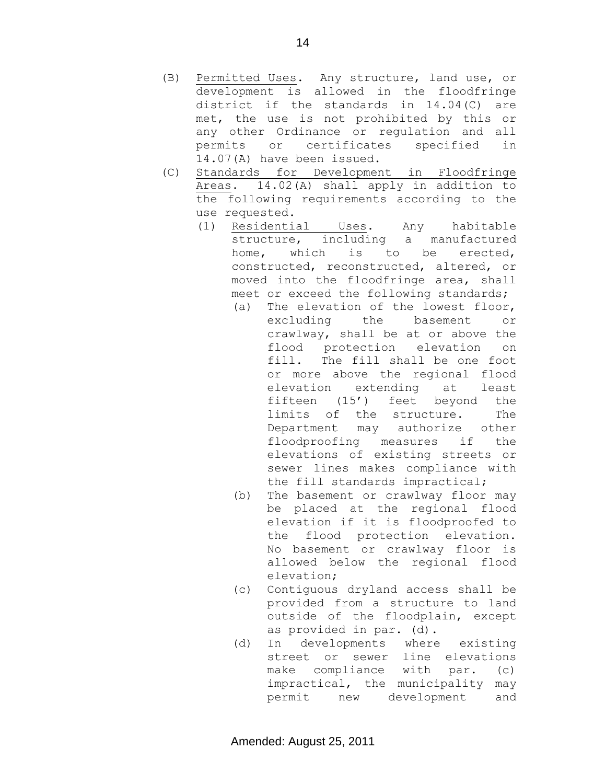- (B) Permitted Uses. Any structure, land use, or development is allowed in the floodfringe district if the standards in 14.04(C) are met, the use is not prohibited by this or any other Ordinance or regulation and all permits or certificates specified in 14.07(A) have been issued.
- (C) Standards for Development in Floodfringe Areas. 14.02(A) shall apply in addition to the following requirements according to the use requested.
	- (1) Residential Uses. Any habitable structure, including a manufactured home, which is to be erected, constructed, reconstructed, altered, or moved into the floodfringe area, shall meet or exceed the following standards;
		- (a) The elevation of the lowest floor, excluding the basement or crawlway, shall be at or above the flood protection elevation on fill. The fill shall be one foot or more above the regional flood elevation extending at least fifteen (15') feet beyond the limits of the structure. The Department may authorize other floodproofing measures if the elevations of existing streets or sewer lines makes compliance with the fill standards impractical;
		- (b) The basement or crawlway floor may be placed at the regional flood elevation if it is floodproofed to the flood protection elevation. No basement or crawlway floor is allowed below the regional flood elevation;
		- (c) Contiguous dryland access shall be provided from a structure to land outside of the floodplain, except as provided in par. (d).
		- (d) In developments where existing street or sewer line elevations make compliance with par. (c) impractical, the municipality may permit new development and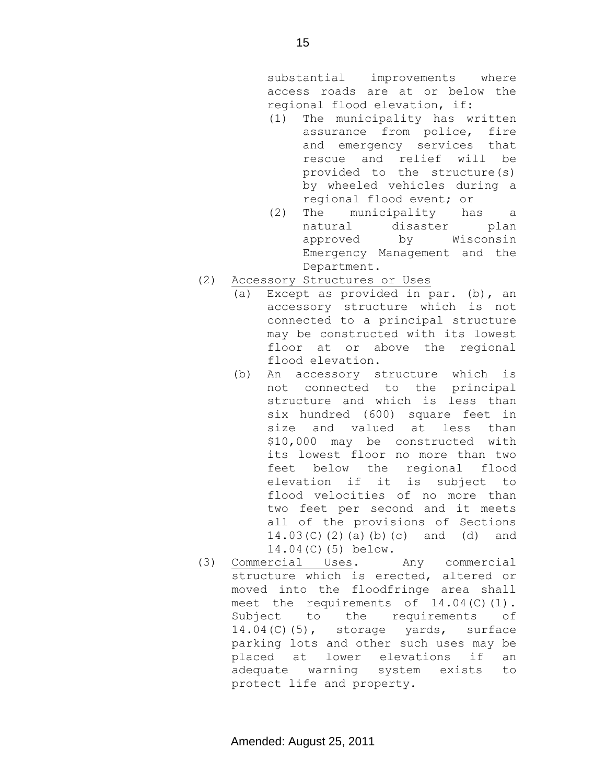substantial improvements where access roads are at or below the regional flood elevation, if:

- (1) The municipality has written assurance from police, fire and emergency services that rescue and relief will be provided to the structure(s) by wheeled vehicles during a regional flood event; or
- (2) The municipality has a natural disaster plan approved by Wisconsin Emergency Management and the Department.
- (2) Accessory Structures or Uses
	- (a) Except as provided in par. (b), an accessory structure which is not connected to a principal structure may be constructed with its lowest floor at or above the regional flood elevation.
	- (b) An accessory structure which is not connected to the principal structure and which is less than six hundred (600) square feet in size and valued at less than \$10,000 may be constructed with its lowest floor no more than two feet below the regional flood elevation if it is subject to flood velocities of no more than two feet per second and it meets all of the provisions of Sections 14.03(C)(2)(a)(b)(c) and (d) and 14.04(C)(5) below.
- (3) Commercial Uses. Any commercial structure which is erected, altered or moved into the floodfringe area shall meet the requirements of 14.04(C)(1). Subject to the requirements of 14.04(C)(5), storage yards, surface parking lots and other such uses may be placed at lower elevations if an adequate warning system exists to protect life and property.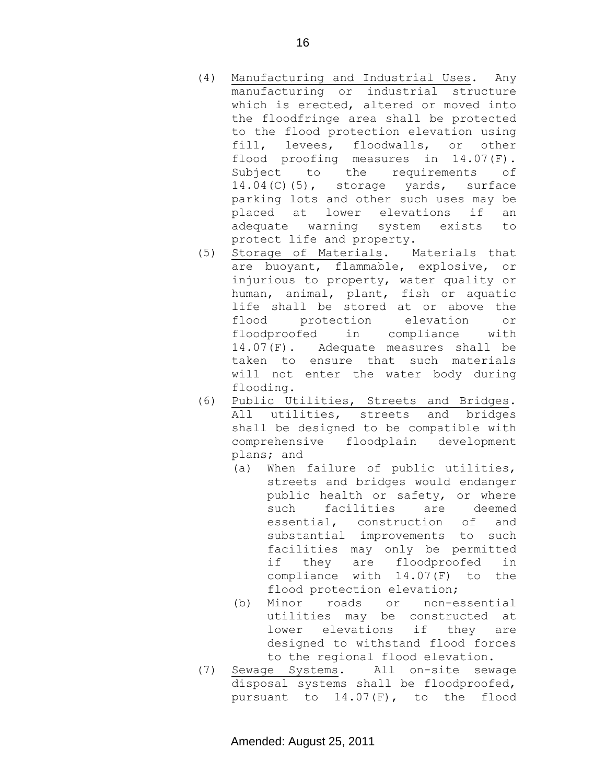- (4) Manufacturing and Industrial Uses. Any manufacturing or industrial structure which is erected, altered or moved into the floodfringe area shall be protected to the flood protection elevation using fill, levees, floodwalls, or other flood proofing measures in 14.07(F). Subject to the requirements of 14.04(C)(5), storage yards, surface parking lots and other such uses may be placed at lower elevations if an adequate warning system exists to protect life and property.
- (5) Storage of Materials. Materials that are buoyant, flammable, explosive, or injurious to property, water quality or human, animal, plant, fish or aquatic life shall be stored at or above the flood protection elevation or floodproofed in compliance with 14.07(F). Adequate measures shall be taken to ensure that such materials will not enter the water body during flooding.
- (6) Public Utilities, Streets and Bridges. All utilities, streets and bridges shall be designed to be compatible with comprehensive floodplain development plans; and
	- (a) When failure of public utilities, streets and bridges would endanger public health or safety, or where such facilities are deemed essential, construction of and substantial improvements to such facilities may only be permitted if they are floodproofed in compliance with 14.07(F) to the flood protection elevation;
	- (b) Minor roads or non-essential utilities may be constructed at lower elevations if they are designed to withstand flood forces to the regional flood elevation.
- (7) Sewage Systems. All on-site sewage disposal systems shall be floodproofed, pursuant to 14.07(F), to the flood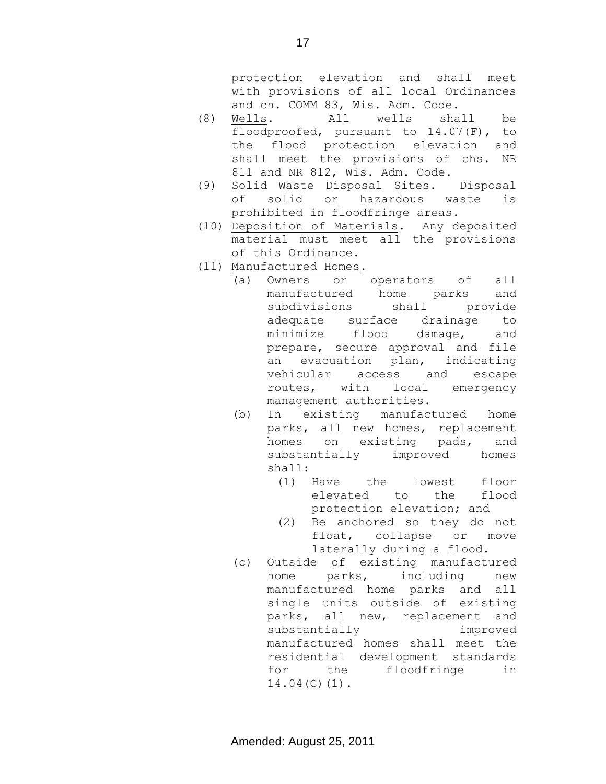protection elevation and shall meet with provisions of all local Ordinances and ch. COMM 83, Wis. Adm. Code.

- (8) Wells. All wells shall be floodproofed, pursuant to 14.07(F), to the flood protection elevation and shall meet the provisions of chs. NR 811 and NR 812, Wis. Adm. Code.
- (9) Solid Waste Disposal Sites. Disposal of solid or hazardous waste is prohibited in floodfringe areas.
- (10) Deposition of Materials. Any deposited material must meet all the provisions of this Ordinance.
- (11) Manufactured Homes.
	- (a) Owners or operators of all manufactured home parks and subdivisions shall provide adequate surface drainage to minimize flood damage, and prepare, secure approval and file an evacuation plan, indicating vehicular access and escape routes, with local emergency management authorities.
	- (b) In existing manufactured home parks, all new homes, replacement homes on existing pads, and substantially improved homes shall:
		- (1) Have the lowest floor elevated to the flood protection elevation; and
		- (2) Be anchored so they do not float, collapse or move laterally during a flood.
	- (c) Outside of existing manufactured home parks, including new manufactured home parks and all single units outside of existing parks, all new, replacement and substantially improved manufactured homes shall meet the residential development standards for the floodfringe in 14.04(C)(1).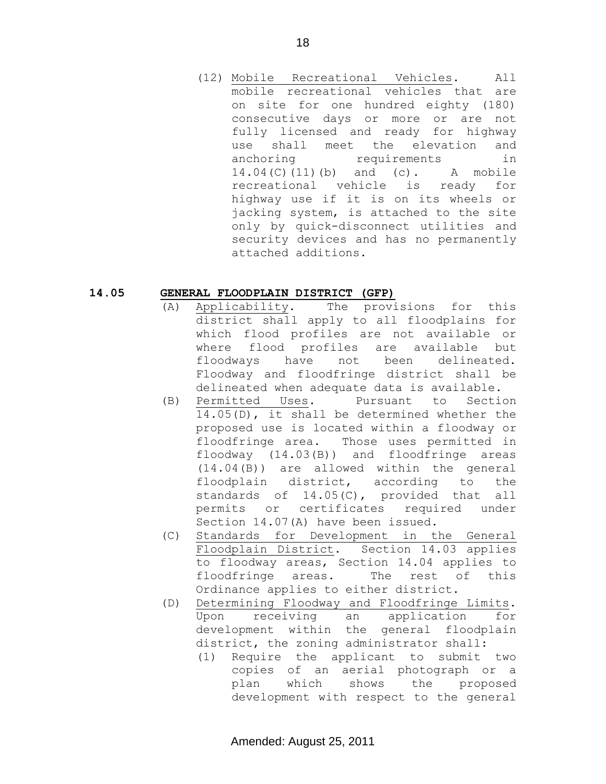(12) Mobile Recreational Vehicles. All mobile recreational vehicles that are on site for one hundred eighty (180) consecutive days or more or are not fully licensed and ready for highway use shall meet the elevation and anchoring requirements in 14.04(C)(11)(b) and (c). A mobile recreational vehicle is ready for highway use if it is on its wheels or jacking system, is attached to the site only by quick-disconnect utilities and security devices and has no permanently attached additions.

#### **14.05 GENERAL FLOODPLAIN DISTRICT (GFP)**

- (A) Applicability. The provisions for this district shall apply to all floodplains for which flood profiles are not available or where flood profiles are available but floodways have not been delineated. Floodway and floodfringe district shall be delineated when adequate data is available.
- (B) Permitted Uses. Pursuant to Section 14.05(D), it shall be determined whether the proposed use is located within a floodway or floodfringe area. Those uses permitted in floodway (14.03(B)) and floodfringe areas (14.04(B)) are allowed within the general floodplain district, according to the standards of 14.05(C), provided that all permits or certificates required under Section 14.07(A) have been issued.
- (C) Standards for Development in the General Floodplain District. Section 14.03 applies to floodway areas, Section 14.04 applies to floodfringe areas. The rest of this Ordinance applies to either district.
- (D) Determining Floodway and Floodfringe Limits. Upon receiving an application for development within the general floodplain district, the zoning administrator shall:
	- (1) Require the applicant to submit two copies of an aerial photograph or a plan which shows the proposed development with respect to the general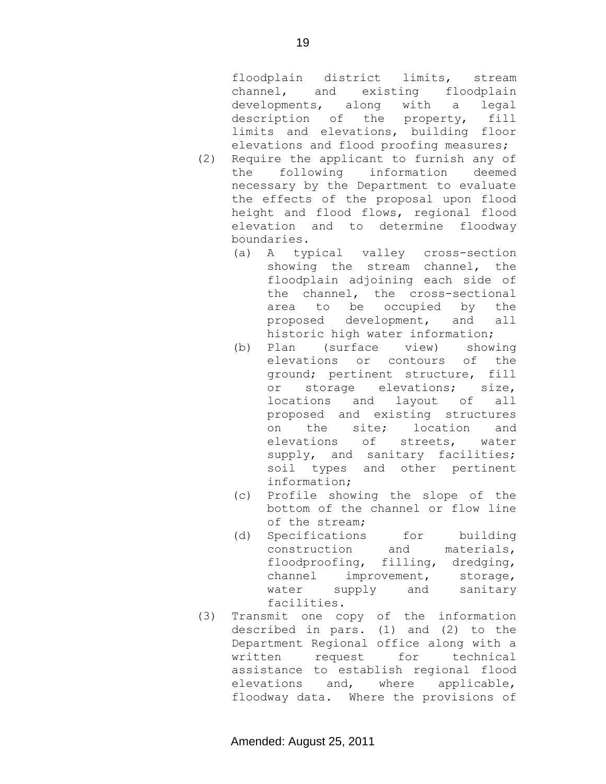floodplain district limits, stream channel, and existing floodplain developments, along with a legal description of the property, fill limits and elevations, building floor elevations and flood proofing measures;

- (2) Require the applicant to furnish any of the following information deemed necessary by the Department to evaluate the effects of the proposal upon flood height and flood flows, regional flood elevation and to determine floodway boundaries.
	- (a) A typical valley cross-section showing the stream channel, the floodplain adjoining each side of the channel, the cross-sectional area to be occupied by the proposed development, and all historic high water information;
	- (b) Plan (surface view) showing elevations or contours of the ground; pertinent structure, fill or storage elevations; size, locations and layout of all proposed and existing structures on the site; location and elevations of streets, water supply, and sanitary facilities; soil types and other pertinent information;
	- (c) Profile showing the slope of the bottom of the channel or flow line of the stream;
	- (d) Specifications for building construction and materials, floodproofing, filling, dredging, channel improvement, storage, water supply and sanitary facilities.
- (3) Transmit one copy of the information described in pars. (1) and (2) to the Department Regional office along with a written request for technical assistance to establish regional flood elevations and, where applicable, floodway data. Where the provisions of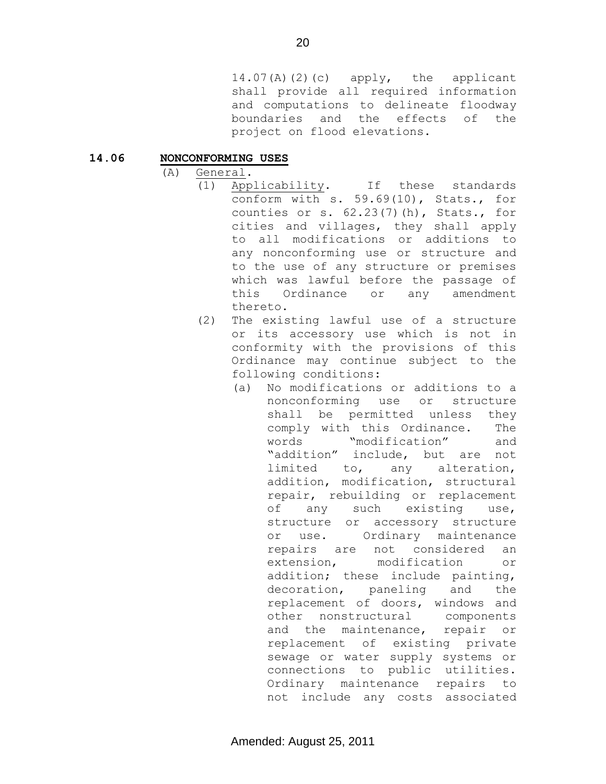14.07(A)(2)(c) apply, the applicant shall provide all required information and computations to delineate floodway boundaries and the effects of the project on flood elevations.

#### **14.06 NONCONFORMING USES**

- (A) General.
	- (1) Applicability. If these standards conform with s. 59.69(10), Stats., for counties or s. 62.23(7)(h), Stats., for cities and villages, they shall apply to all modifications or additions to any nonconforming use or structure and to the use of any structure or premises which was lawful before the passage of this Ordinance or any amendment thereto.
	- (2) The existing lawful use of a structure or its accessory use which is not in conformity with the provisions of this Ordinance may continue subject to the following conditions:
		- (a) No modifications or additions to a nonconforming use or structure shall be permitted unless they comply with this Ordinance. The words "modification" and "addition" include, but are not limited to, any alteration, addition, modification, structural repair, rebuilding or replacement of any such existing use, structure or accessory structure or use. Ordinary maintenance repairs are not considered an extension, modification or addition; these include painting, decoration, paneling and the replacement of doors, windows and other nonstructural components and the maintenance, repair or replacement of existing private sewage or water supply systems or connections to public utilities. Ordinary maintenance repairs to not include any costs associated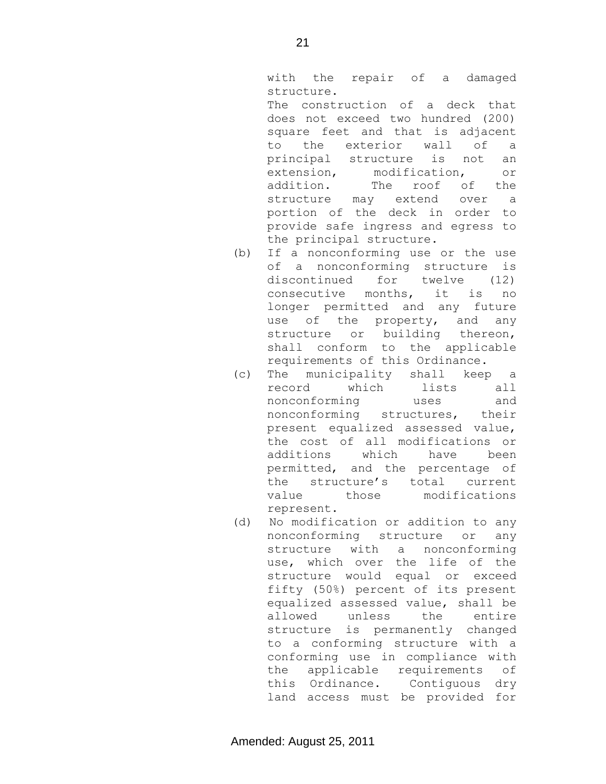with the repair of a damaged structure.

The construction of a deck that does not exceed two hundred (200) square feet and that is adjacent to the exterior wall of a principal structure is not an extension, modification, or addition. The roof of the structure may extend over a portion of the deck in order to provide safe ingress and egress to the principal structure.

- (b) If a nonconforming use or the use of a nonconforming structure is discontinued for twelve (12) consecutive months, it is no longer permitted and any future use of the property, and any structure or building thereon, shall conform to the applicable requirements of this Ordinance.
- (c) The municipality shall keep a record which lists all nonconforming uses and nonconforming structures, their present equalized assessed value, the cost of all modifications or additions which have been permitted, and the percentage of the structure's total current value those modifications represent.
- (d) No modification or addition to any nonconforming structure or any structure with a nonconforming use, which over the life of the structure would equal or exceed fifty (50%) percent of its present equalized assessed value, shall be allowed unless the entire structure is permanently changed to a conforming structure with a conforming use in compliance with the applicable requirements of this Ordinance. Contiguous dry land access must be provided for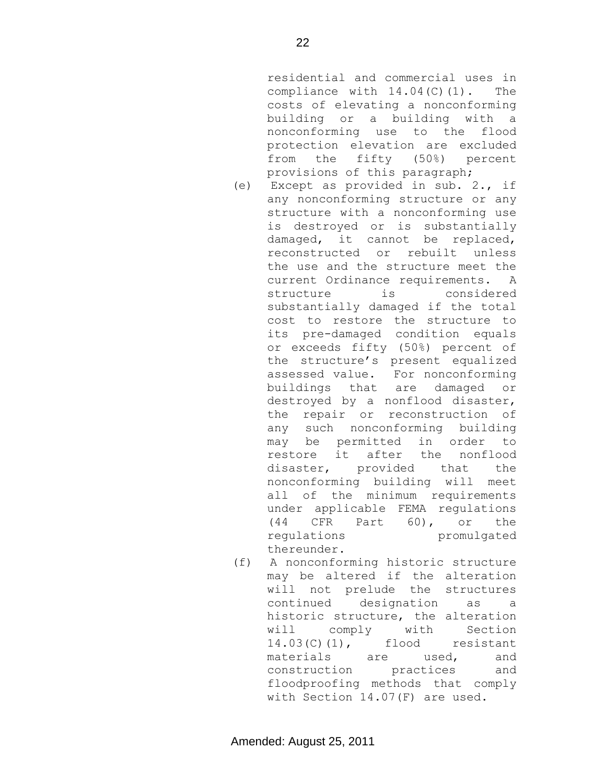22

residential and commercial uses in compliance with  $14.04(C)(1)$ . The costs of elevating a nonconforming building or a building with a nonconforming use to the flood protection elevation are excluded from the fifty (50%) percent provisions of this paragraph;

- (e) Except as provided in sub. 2., if any nonconforming structure or any structure with a nonconforming use is destroyed or is substantially damaged, it cannot be replaced, reconstructed or rebuilt unless the use and the structure meet the current Ordinance requirements. A structure is considered substantially damaged if the total cost to restore the structure to its pre-damaged condition equals or exceeds fifty (50%) percent of the structure's present equalized assessed value. For nonconforming buildings that are damaged or destroyed by a nonflood disaster, the repair or reconstruction of any such nonconforming building may be permitted in order to restore it after the nonflood disaster, provided that the nonconforming building will meet all of the minimum requirements under applicable FEMA regulations (44 CFR Part 60), or the regulations promulgated thereunder.
- (f) A nonconforming historic structure may be altered if the alteration will not prelude the structures continued designation as a historic structure, the alteration will comply with Section 14.03(C)(1), flood resistant materials are used, and construction practices and floodproofing methods that comply with Section 14.07(F) are used.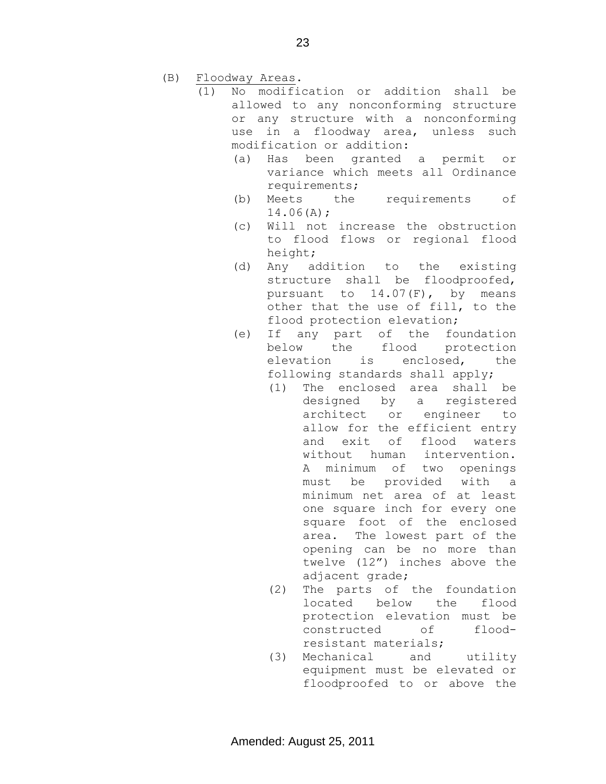- (B) Floodway Areas.
	- (1) No modification or addition shall be allowed to any nonconforming structure or any structure with a nonconforming use in a floodway area, unless such modification or addition:
		- (a) Has been granted a permit or variance which meets all Ordinance requirements;
		- (b) Meets the requirements of 14.06(A);
		- (c) Will not increase the obstruction to flood flows or regional flood height;
		- (d) Any addition to the existing structure shall be floodproofed, pursuant to 14.07(F), by means other that the use of fill, to the flood protection elevation;
		- (e) If any part of the foundation below the flood protection elevation is enclosed, the following standards shall apply;
			- (1) The enclosed area shall be designed by a registered architect or engineer to allow for the efficient entry and exit of flood waters without human intervention. A minimum of two openings must be provided with a minimum net area of at least one square inch for every one square foot of the enclosed area. The lowest part of the opening can be no more than twelve (12") inches above the adjacent grade;
			- (2) The parts of the foundation located below the flood protection elevation must be constructed of floodresistant materials;
			- (3) Mechanical and utility equipment must be elevated or floodproofed to or above the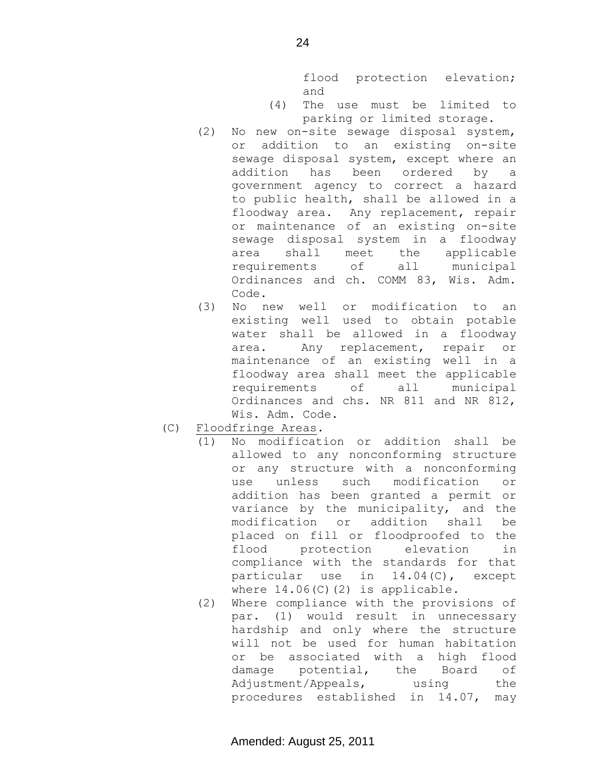flood protection elevation; and

- (4) The use must be limited to parking or limited storage.
- (2) No new on-site sewage disposal system, or addition to an existing on-site sewage disposal system, except where an addition has been ordered by a government agency to correct a hazard to public health, shall be allowed in a floodway area. Any replacement, repair or maintenance of an existing on-site sewage disposal system in a floodway area shall meet the applicable requirements of all municipal Ordinances and ch. COMM 83, Wis. Adm. Code.
- (3) No new well or modification to an existing well used to obtain potable water shall be allowed in a floodway area. Any replacement, repair or maintenance of an existing well in a floodway area shall meet the applicable requirements of all municipal Ordinances and chs. NR 811 and NR 812, Wis. Adm. Code.
- (C) Floodfringe Areas.
	- (1) No modification or addition shall be allowed to any nonconforming structure or any structure with a nonconforming use unless such modification or addition has been granted a permit or variance by the municipality, and the modification or addition shall be placed on fill or floodproofed to the flood protection elevation in compliance with the standards for that particular use in 14.04(C), except where  $14.06(C)(2)$  is applicable.
	- (2) Where compliance with the provisions of par. (1) would result in unnecessary hardship and only where the structure will not be used for human habitation or be associated with a high flood damage potential, the Board of Adjustment/Appeals, using the procedures established in 14.07, may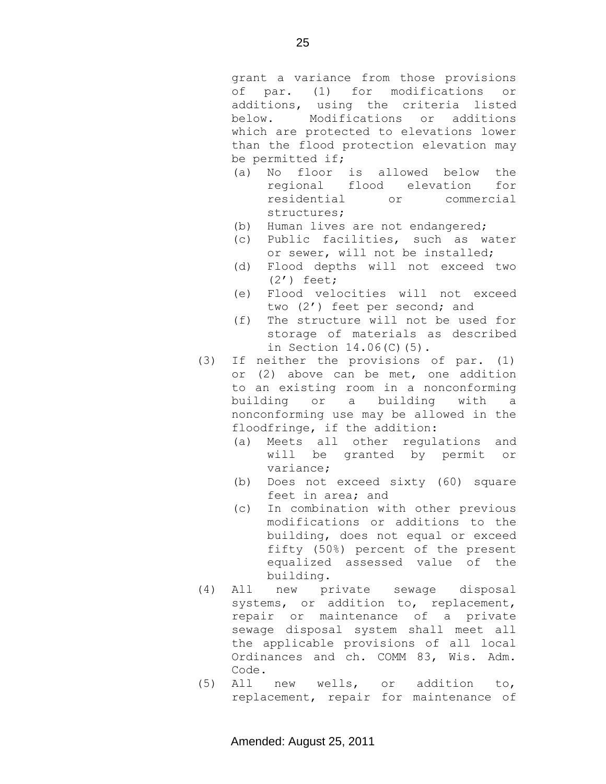grant a variance from those provisions of par. (1) for modifications or additions, using the criteria listed below. Modifications or additions which are protected to elevations lower than the flood protection elevation may be permitted if;

- (a) No floor is allowed below the regional flood elevation for residential or commercial structures;
- (b) Human lives are not endangered;
- (c) Public facilities, such as water or sewer, will not be installed;
- (d) Flood depths will not exceed two (2') feet;
- (e) Flood velocities will not exceed two (2') feet per second; and
- (f) The structure will not be used for storage of materials as described in Section 14.06(C)(5).
- (3) If neither the provisions of par. (1) or (2) above can be met, one addition to an existing room in a nonconforming building or a building with a nonconforming use may be allowed in the floodfringe, if the addition:
	- (a) Meets all other regulations and will be granted by permit or variance;
	- (b) Does not exceed sixty (60) square feet in area; and
	- (c) In combination with other previous modifications or additions to the building, does not equal or exceed fifty (50%) percent of the present equalized assessed value of the building.
- (4) All new private sewage disposal systems, or addition to, replacement, repair or maintenance of a private sewage disposal system shall meet all the applicable provisions of all local Ordinances and ch. COMM 83, Wis. Adm. Code.
- (5) All new wells, or addition to, replacement, repair for maintenance of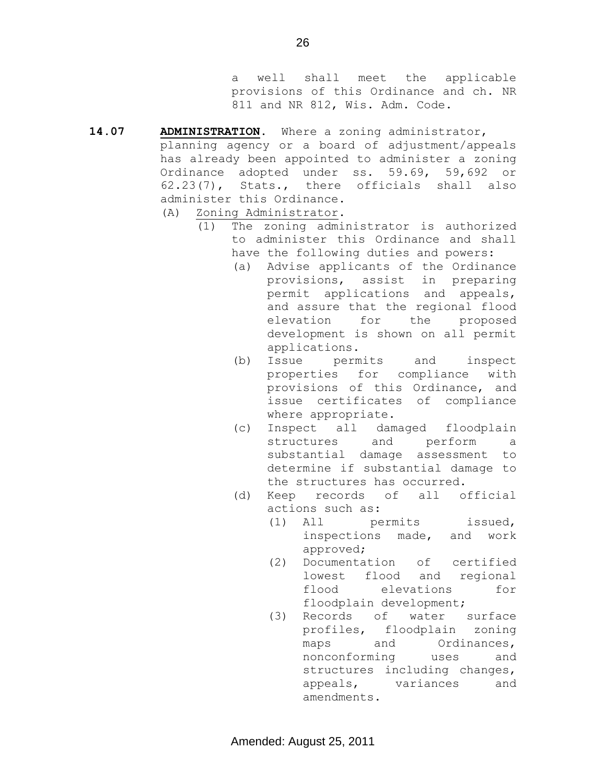a well shall meet the applicable provisions of this Ordinance and ch. NR 811 and NR 812, Wis. Adm. Code.

- **14.07 ADMINISTRATION.** Where a zoning administrator, planning agency or a board of adjustment/appeals has already been appointed to administer a zoning Ordinance adopted under ss. 59.69, 59,692 or 62.23(7), Stats., there officials shall also administer this Ordinance. (A) Zoning Administrator.
	- (1) The zoning administrator is authorized to administer this Ordinance and shall have the following duties and powers:
		- (a) Advise applicants of the Ordinance provisions, assist in preparing permit applications and appeals, and assure that the regional flood elevation for the proposed development is shown on all permit applications.
		- (b) Issue permits and inspect properties for compliance with provisions of this Ordinance, and issue certificates of compliance where appropriate.
		- (c) Inspect all damaged floodplain structures and perform a substantial damage assessment to determine if substantial damage to the structures has occurred.
		- (d) Keep records of all official actions such as:
			- (1) All permits issued, inspections made, and work approved;
			- (2) Documentation of certified lowest flood and regional flood elevations for floodplain development;
			- (3) Records of water surface profiles, floodplain zoning maps and Ordinances, nonconforming uses and structures including changes, appeals, variances and amendments.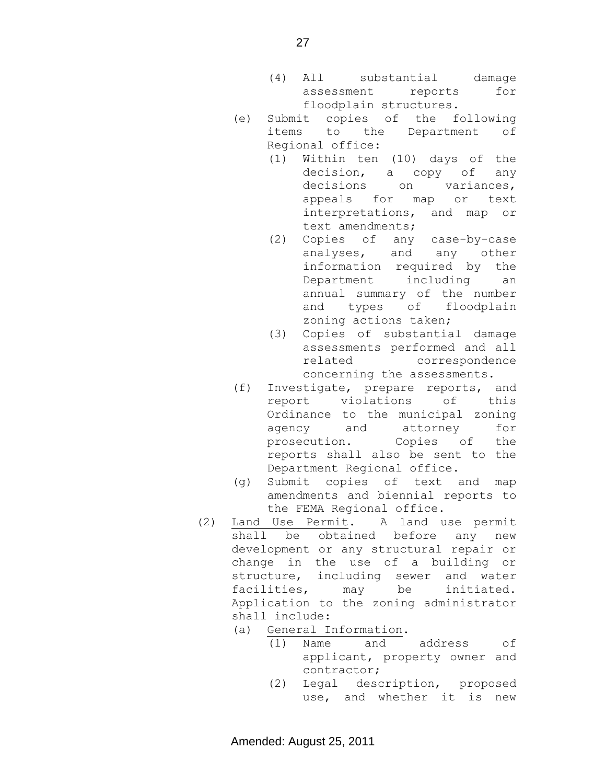- (4) All substantial damage assessment reports for floodplain structures.
- (e) Submit copies of the following items to the Department of Regional office:
	- (1) Within ten (10) days of the decision, a copy of any decisions on variances, appeals for map or text interpretations, and map or text amendments;
	- (2) Copies of any case-by-case analyses, and any other information required by the Department including an annual summary of the number and types of floodplain zoning actions taken;
	- (3) Copies of substantial damage assessments performed and all related correspondence concerning the assessments.
- (f) Investigate, prepare reports, and report violations of this Ordinance to the municipal zoning agency and attorney for prosecution. Copies of the reports shall also be sent to the Department Regional office.
- (g) Submit copies of text and map amendments and biennial reports to the FEMA Regional office.
- (2) Land Use Permit. A land use permit shall be obtained before any new development or any structural repair or change in the use of a building or structure, including sewer and water facilities, may be initiated. Application to the zoning administrator shall include:
	- (a) General Information.
		- (1) Name and address of applicant, property owner and contractor;
		- (2) Legal description, proposed use, and whether it is new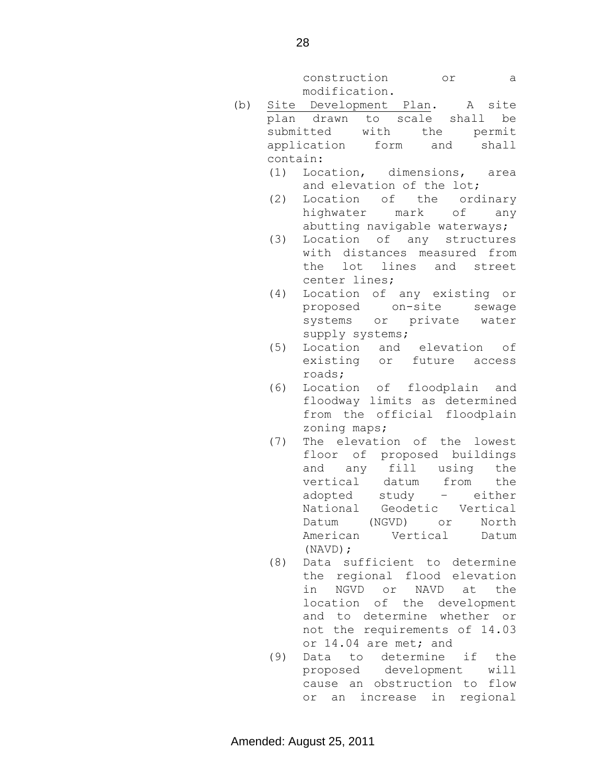construction or a modification.

- (b) Site Development Plan. A site plan drawn to scale shall be submitted with the permit application form and shall contain:
	- (1) Location, dimensions, area and elevation of the lot;
	- (2) Location of the ordinary highwater mark of any abutting navigable waterways;
	- (3) Location of any structures with distances measured from the lot lines and street center lines;
	- (4) Location of any existing or proposed on-site sewage systems or private water supply systems;
	- (5) Location and elevation of existing or future access roads;
	- (6) Location of floodplain and floodway limits as determined from the official floodplain zoning maps;
	- (7) The elevation of the lowest floor of proposed buildings and any fill using the vertical datum from the adopted study – either National Geodetic Vertical Datum (NGVD) or North American Vertical Datum (NAVD);
	- (8) Data sufficient to determine the regional flood elevation in NGVD or NAVD at the location of the development and to determine whether or not the requirements of 14.03 or 14.04 are met; and
	- (9) Data to determine if the proposed development will cause an obstruction to flow or an increase in regional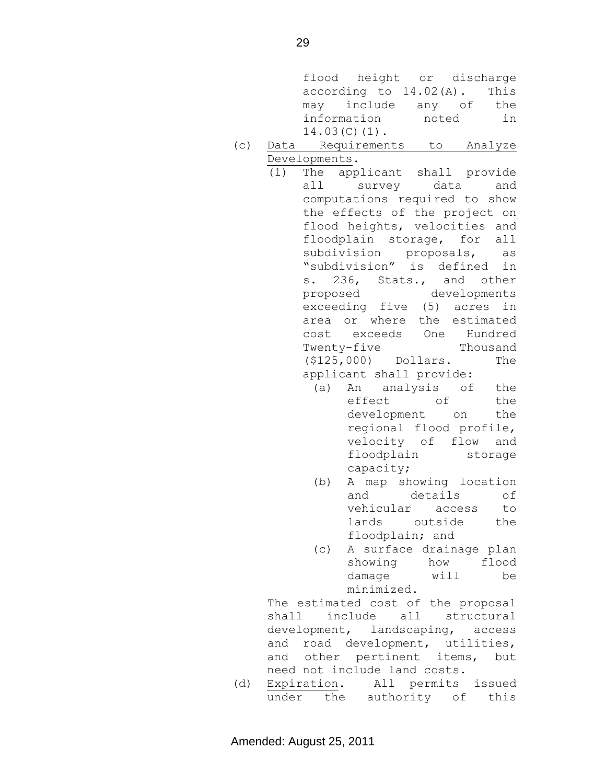flood height or discharge according to 14.02(A). This may include any of the information noted in 14.03(C)(1).

- (c) Data Requirements to Analyze Developments.
	- (1) The applicant shall provide all survey data and computations required to show the effects of the project on flood heights, velocities and floodplain storage, for all subdivision proposals, as "subdivision" is defined in s. 236, Stats., and other proposed developments exceeding five (5) acres in area or where the estimated cost exceeds One Hundred Twenty-five Thousand (\$125,000) Dollars. The applicant shall provide:
		- (a) An analysis of the effect of the development on the regional flood profile, velocity of flow and floodplain storage capacity;
		- (b) A map showing location and details of vehicular access to lands outside the floodplain; and
		- (c) A surface drainage plan showing how flood damage will be minimized.

The estimated cost of the proposal shall include all structural development, landscaping, access and road development, utilities, and other pertinent items, but need not include land costs.

(d) Expiration. All permits issued under the authority of this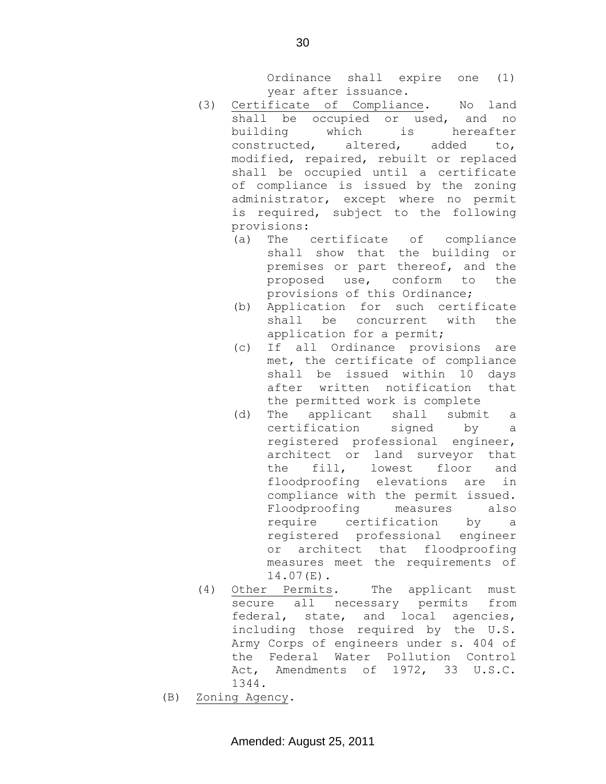Ordinance shall expire one (1) year after issuance.

- (3) Certificate of Compliance. No land shall be occupied or used, and no building which is hereafter constructed, altered, added to, modified, repaired, rebuilt or replaced shall be occupied until a certificate of compliance is issued by the zoning administrator, except where no permit is required, subject to the following provisions:
	- (a) The certificate of compliance shall show that the building or premises or part thereof, and the proposed use, conform to the provisions of this Ordinance;
	- (b) Application for such certificate shall be concurrent with the application for a permit;
	- (c) If all Ordinance provisions are met, the certificate of compliance shall be issued within 10 days after written notification that the permitted work is complete
	- (d) The applicant shall submit a certification signed by a registered professional engineer, architect or land surveyor that the fill, lowest floor and floodproofing elevations are in compliance with the permit issued. Floodproofing measures also require certification by a registered professional engineer or architect that floodproofing measures meet the requirements of 14.07(E).
- (4) Other Permits. The applicant must secure all necessary permits from federal, state, and local agencies, including those required by the U.S. Army Corps of engineers under s. 404 of the Federal Water Pollution Control Act, Amendments of 1972, 33 U.S.C. 1344.
- (B) Zoning Agency.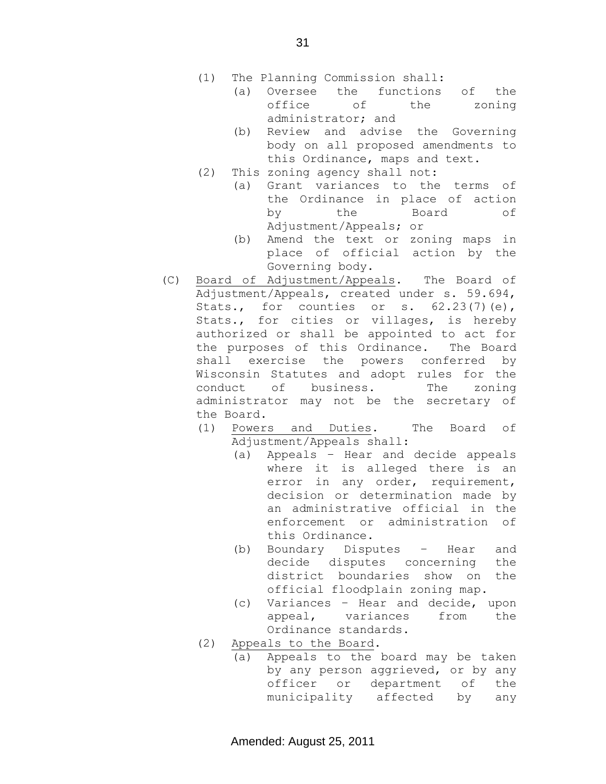- (1) The Planning Commission shall:
	- (a) Oversee the functions of the office of the zoning administrator; and
	- (b) Review and advise the Governing body on all proposed amendments to this Ordinance, maps and text.
- (2) This zoning agency shall not:
	- (a) Grant variances to the terms of the Ordinance in place of action by the Board of Adjustment/Appeals; or
	- (b) Amend the text or zoning maps in place of official action by the Governing body.
- (C) Board of Adjustment/Appeals. The Board of Adjustment/Appeals, created under s. 59.694, Stats., for counties or s.  $62.23(7)(e)$ , Stats., for cities or villages, is hereby authorized or shall be appointed to act for the purposes of this Ordinance. The Board shall exercise the powers conferred by Wisconsin Statutes and adopt rules for the conduct of business. The zoning administrator may not be the secretary of the Board.
	- (1) Powers and Duties. The Board of Adjustment/Appeals shall:
		- (a) Appeals Hear and decide appeals where it is alleged there is an error in any order, requirement, decision or determination made by an administrative official in the enforcement or administration of this Ordinance.
		- (b) Boundary Disputes Hear and decide disputes concerning the district boundaries show on the official floodplain zoning map.
		- (c) Variances Hear and decide, upon appeal, variances from the Ordinance standards.
	- (2) Appeals to the Board.
		- (a) Appeals to the board may be taken by any person aggrieved, or by any officer or department of the municipality affected by any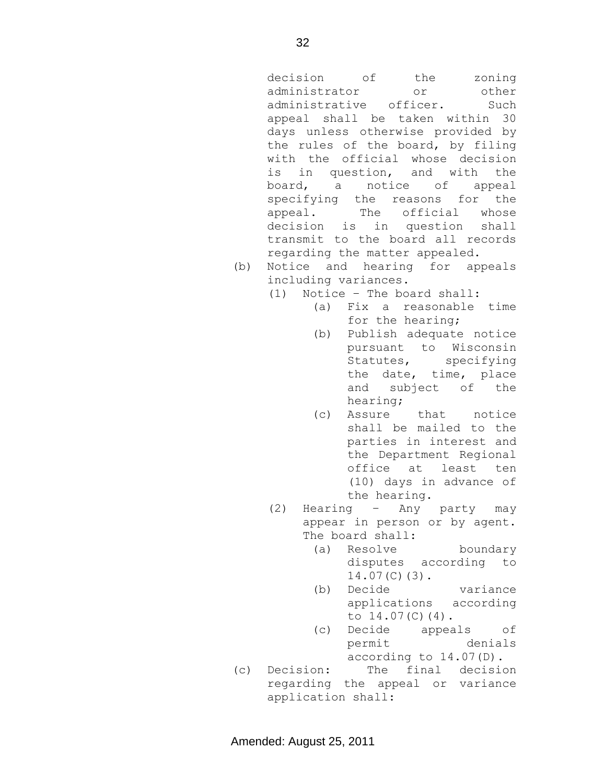decision of the zoning administrator or other administrative officer. Such appeal shall be taken within 30 days unless otherwise provided by the rules of the board, by filing with the official whose decision is in question, and with the board, a notice of appeal specifying the reasons for the appeal. The official whose decision is in question shall transmit to the board all records regarding the matter appealed.

- (b) Notice and hearing for appeals including variances.
	- (1) Notice The board shall:
		- (a) Fix a reasonable time for the hearing;
		- (b) Publish adequate notice pursuant to Wisconsin Statutes, specifying the date, time, place and subject of the hearing;
		- (c) Assure that notice shall be mailed to the parties in interest and the Department Regional office at least ten (10) days in advance of the hearing.
	- (2) Hearing Any party may appear in person or by agent. The board shall:
		- (a) Resolve boundary disputes according to 14.07(C)(3).
		- (b) Decide variance applications according to  $14.07(C)(4)$ .
		- (c) Decide appeals of permit denials according to 14.07(D).
- (c) Decision: The final decision regarding the appeal or variance application shall: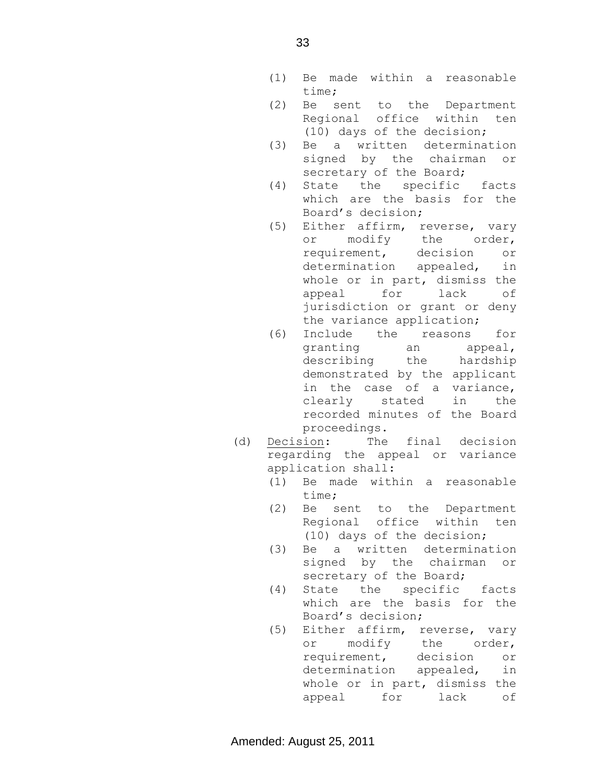- (1) Be made within a reasonable time;
- (2) Be sent to the Department Regional office within ten (10) days of the decision;
- (3) Be a written determination signed by the chairman or secretary of the Board;
- (4) State the specific facts which are the basis for the Board's decision;
- (5) Either affirm, reverse, vary or modify the order, requirement, decision or determination appealed, in whole or in part, dismiss the appeal for lack of jurisdiction or grant or deny the variance application;
- (6) Include the reasons for granting an appeal, describing the hardship demonstrated by the applicant in the case of a variance, clearly stated in the recorded minutes of the Board proceedings.
- (d) Decision: The final decision regarding the appeal or variance application shall:
	- (1) Be made within a reasonable time;
	- (2) Be sent to the Department Regional office within ten (10) days of the decision;
	- (3) Be a written determination signed by the chairman or secretary of the Board;
	- (4) State the specific facts which are the basis for the Board's decision;
	- (5) Either affirm, reverse, vary or modify the order, requirement, decision or determination appealed, in whole or in part, dismiss the appeal for lack of

33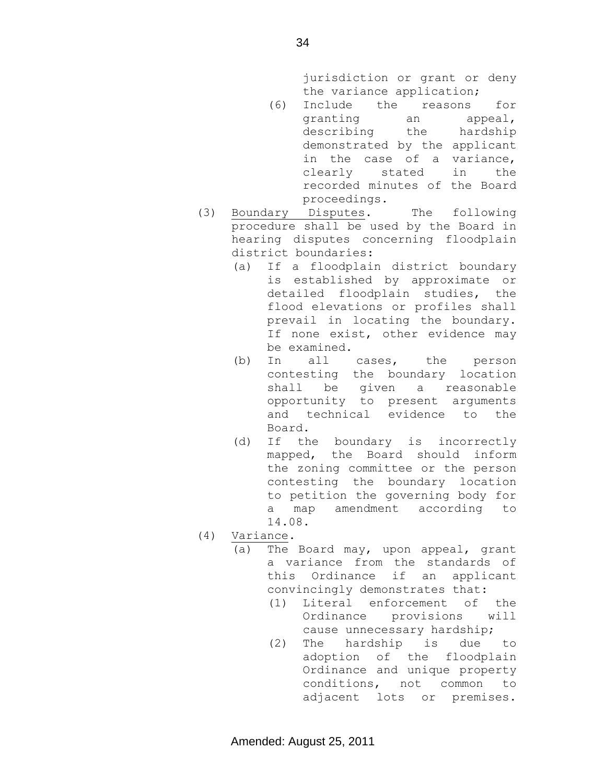jurisdiction or grant or deny the variance application;

- (6) Include the reasons for granting an appeal, describing the hardship demonstrated by the applicant in the case of a variance, clearly stated in the recorded minutes of the Board proceedings.
- (3) Boundary Disputes. The following procedure shall be used by the Board in hearing disputes concerning floodplain district boundaries:
	- (a) If a floodplain district boundary is established by approximate or detailed floodplain studies, the flood elevations or profiles shall prevail in locating the boundary. If none exist, other evidence may be examined.
	- (b) In all cases, the person contesting the boundary location shall be given a reasonable opportunity to present arguments and technical evidence to the Board.
	- (d) If the boundary is incorrectly mapped, the Board should inform the zoning committee or the person contesting the boundary location to petition the governing body for a map amendment according to 14.08.
- (4) Variance.
	- (a) The Board may, upon appeal, grant a variance from the standards of this Ordinance if an applicant convincingly demonstrates that:
		- (1) Literal enforcement of the Ordinance provisions will cause unnecessary hardship;
		- (2) The hardship is due to adoption of the floodplain Ordinance and unique property conditions, not common to adjacent lots or premises.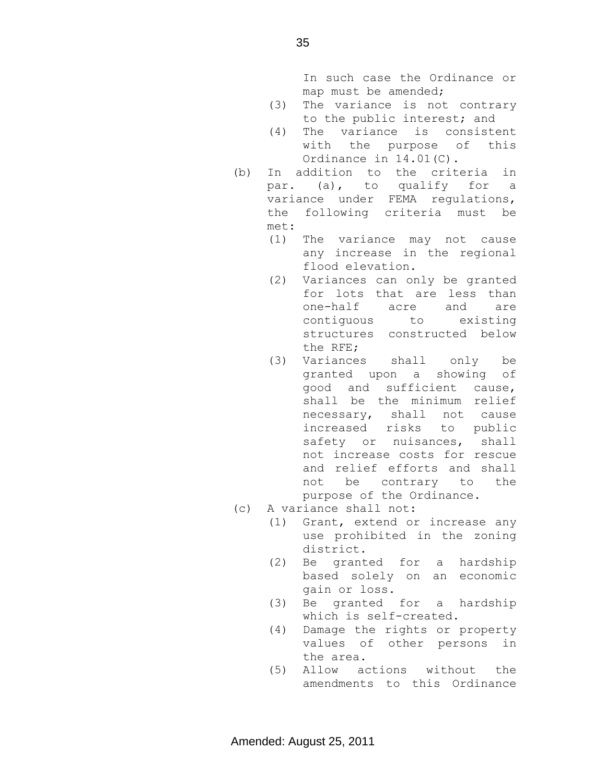In such case the Ordinance or map must be amended;

- (3) The variance is not contrary to the public interest; and
- (4) The variance is consistent with the purpose of this Ordinance in 14.01(C).
- (b) In addition to the criteria in par. (a), to qualify for a variance under FEMA regulations, the following criteria must be met:
	- (1) The variance may not cause any increase in the regional flood elevation.
	- (2) Variances can only be granted for lots that are less than one-half acre and are contiguous to existing structures constructed below the RFE;
	- (3) Variances shall only be granted upon a showing of good and sufficient cause, shall be the minimum relief necessary, shall not cause increased risks to public safety or nuisances, shall not increase costs for rescue and relief efforts and shall not be contrary to the purpose of the Ordinance.
- (c) A variance shall not:
	- (1) Grant, extend or increase any use prohibited in the zoning district.
	- (2) Be granted for a hardship based solely on an economic gain or loss.
	- (3) Be granted for a hardship which is self-created.
	- (4) Damage the rights or property values of other persons in the area.
	- (5) Allow actions without the amendments to this Ordinance

35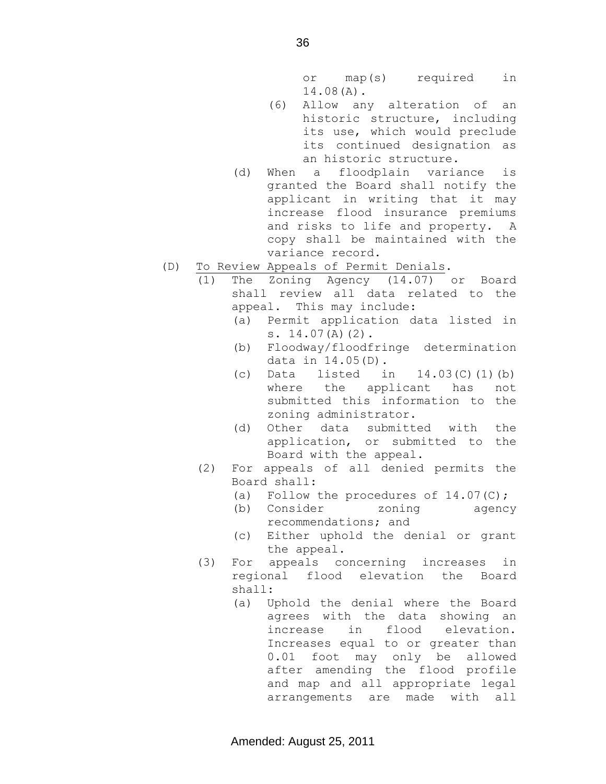or map(s) required in 14.08(A).

- (6) Allow any alteration of an historic structure, including its use, which would preclude its continued designation as an historic structure.
- (d) When a floodplain variance is granted the Board shall notify the applicant in writing that it may increase flood insurance premiums and risks to life and property. A copy shall be maintained with the variance record.
- (D) To Review Appeals of Permit Denials.
	- (1) The Zoning Agency (14.07) or Board shall review all data related to the appeal. This may include:
		- (a) Permit application data listed in s. 14.07(A)(2).
		- (b) Floodway/floodfringe determination data in 14.05(D).
		- (c) Data listed in  $14.03(C)$  (1)(b) where the applicant has not submitted this information to the zoning administrator.
		- (d) Other data submitted with the application, or submitted to the Board with the appeal.
	- (2) For appeals of all denied permits the Board shall:
		- (a) Follow the procedures of  $14.07(C)$ ;
		- (b) Consider zoning agency recommendations; and
		- (c) Either uphold the denial or grant the appeal.
	- (3) For appeals concerning increases in regional flood elevation the Board shall:
		- (a) Uphold the denial where the Board agrees with the data showing an increase in flood elevation. Increases equal to or greater than 0.01 foot may only be allowed after amending the flood profile and map and all appropriate legal arrangements are made with all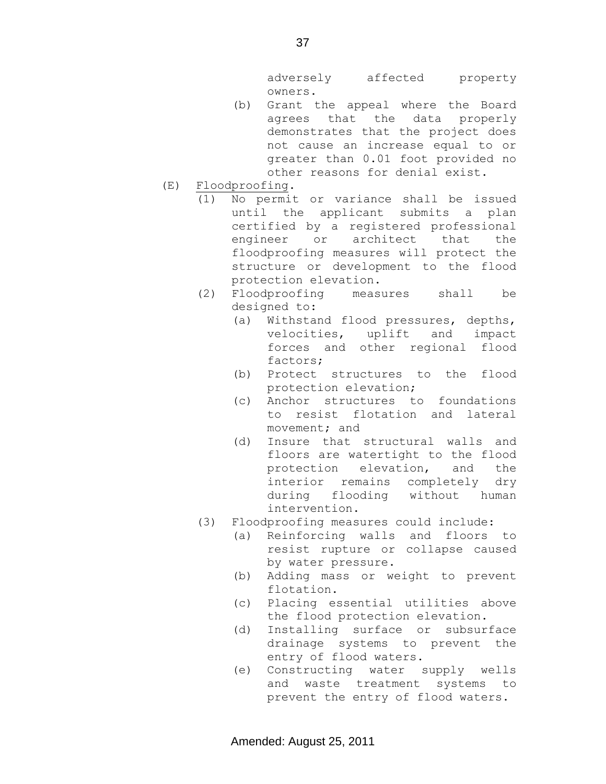adversely affected property owners.

- (b) Grant the appeal where the Board agrees that the data properly demonstrates that the project does not cause an increase equal to or greater than 0.01 foot provided no other reasons for denial exist.
- (E) Floodproofing.
	- (1) No permit or variance shall be issued until the applicant submits a plan certified by a registered professional engineer or architect that the floodproofing measures will protect the structure or development to the flood protection elevation.
	- (2) Floodproofing measures shall be designed to:
		- (a) Withstand flood pressures, depths, velocities, uplift and impact forces and other regional flood factors;
		- (b) Protect structures to the flood protection elevation;
		- (c) Anchor structures to foundations to resist flotation and lateral movement; and
		- (d) Insure that structural walls and floors are watertight to the flood protection elevation, and the interior remains completely dry during flooding without human intervention.
	- (3) Floodproofing measures could include:
		- (a) Reinforcing walls and floors to resist rupture or collapse caused by water pressure.
		- (b) Adding mass or weight to prevent flotation.
		- (c) Placing essential utilities above the flood protection elevation.
		- (d) Installing surface or subsurface drainage systems to prevent the entry of flood waters.
		- (e) Constructing water supply wells and waste treatment systems to prevent the entry of flood waters.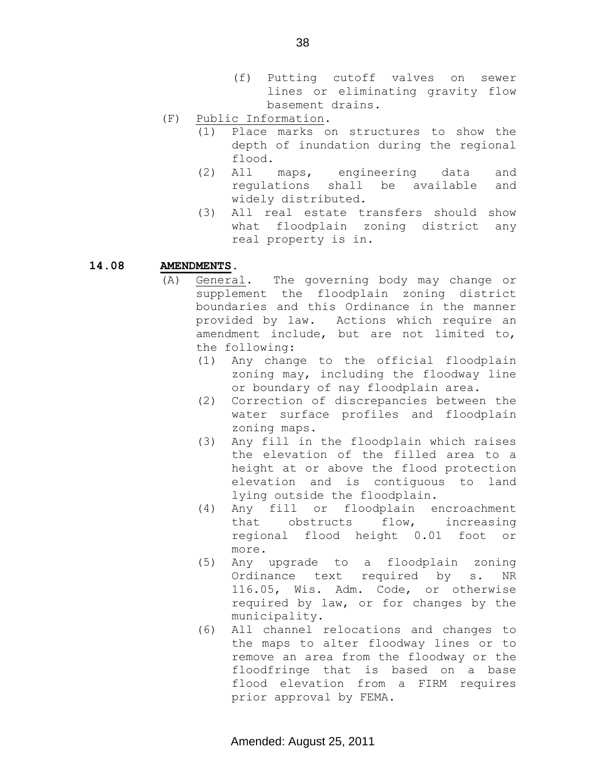- (f) Putting cutoff valves on sewer lines or eliminating gravity flow basement drains.
- (F) Public Information.
	- (1) Place marks on structures to show the depth of inundation during the regional flood.
	- (2) All maps, engineering data and regulations shall be available and widely distributed.
	- (3) All real estate transfers should show what floodplain zoning district any real property is in.

## **14.08 AMENDMENTS.**

- (A) General. The governing body may change or supplement the floodplain zoning district boundaries and this Ordinance in the manner provided by law. Actions which require an amendment include, but are not limited to, the following:
	- (1) Any change to the official floodplain zoning may, including the floodway line or boundary of nay floodplain area.
	- (2) Correction of discrepancies between the water surface profiles and floodplain zoning maps.
	- (3) Any fill in the floodplain which raises the elevation of the filled area to a height at or above the flood protection elevation and is contiguous to land lying outside the floodplain.
	- (4) Any fill or floodplain encroachment that obstructs flow, increasing regional flood height 0.01 foot or more.
	- (5) Any upgrade to a floodplain zoning Ordinance text required by s. NR 116.05, Wis. Adm. Code, or otherwise required by law, or for changes by the municipality.
	- (6) All channel relocations and changes to the maps to alter floodway lines or to remove an area from the floodway or the floodfringe that is based on a base flood elevation from a FIRM requires prior approval by FEMA.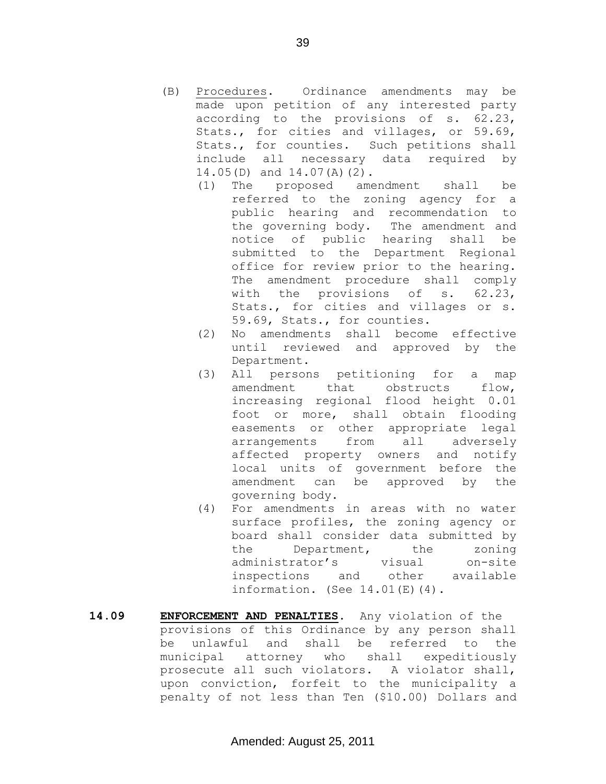- (B) Procedures. Ordinance amendments may be made upon petition of any interested party according to the provisions of s. 62.23, Stats., for cities and villages, or 59.69, Stats., for counties. Such petitions shall include all necessary data required by 14.05(D) and 14.07(A)(2).
	- (1) The proposed amendment shall be referred to the zoning agency for a public hearing and recommendation to the governing body. The amendment and notice of public hearing shall be submitted to the Department Regional office for review prior to the hearing. The amendment procedure shall comply with the provisions of s. 62.23, Stats., for cities and villages or s. 59.69, Stats., for counties.
	- (2) No amendments shall become effective until reviewed and approved by the Department.
	- (3) All persons petitioning for a map amendment that obstructs flow, increasing regional flood height 0.01 foot or more, shall obtain flooding easements or other appropriate legal arrangements from all adversely affected property owners and notify local units of government before the amendment can be approved by the governing body.
	- (4) For amendments in areas with no water surface profiles, the zoning agency or board shall consider data submitted by the Department, the zoning administrator's visual on-site<br>inspections and other available inspections and other available information. (See 14.01(E)(4).
- **14.09 ENFORCEMENT AND PENALTIES.** Any violation of the provisions of this Ordinance by any person shall be unlawful and shall be referred to the municipal attorney who shall expeditiously prosecute all such violators. A violator shall, upon conviction, forfeit to the municipality a penalty of not less than Ten (\$10.00) Dollars and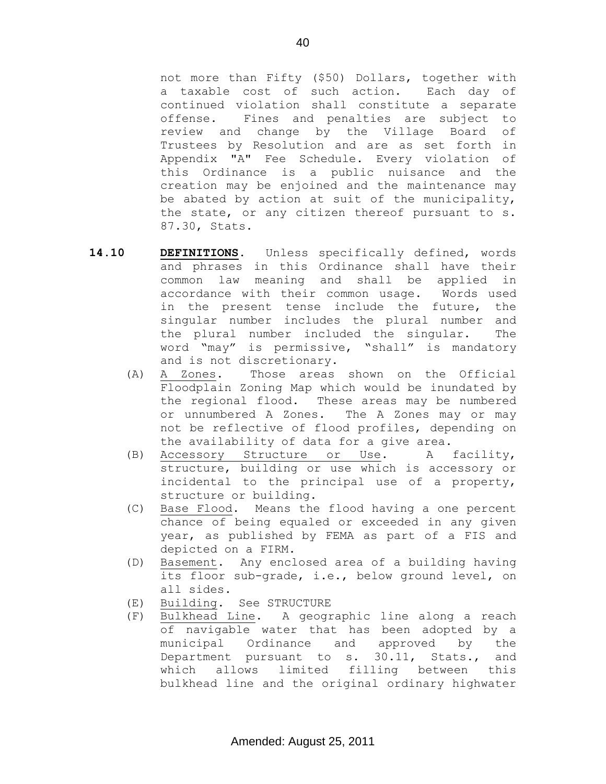not more than Fifty (\$50) Dollars, together with a taxable cost of such action. Each day of continued violation shall constitute a separate offense. Fines and penalties are subject to review and change by the Village Board of Trustees by Resolution and are as set forth in Appendix "A" Fee Schedule. Every violation of this Ordinance is a public nuisance and the creation may be enjoined and the maintenance may be abated by action at suit of the municipality, the state, or any citizen thereof pursuant to s. 87.30, Stats.

- **14.10 DEFINITIONS.** Unless specifically defined, words and phrases in this Ordinance shall have their common law meaning and shall be applied in accordance with their common usage. Words used in the present tense include the future, the singular number includes the plural number and the plural number included the singular. The word "may" is permissive, "shall" is mandatory and is not discretionary.
	- (A) A Zones. Those areas shown on the Official Floodplain Zoning Map which would be inundated by the regional flood. These areas may be numbered or unnumbered A Zones. The A Zones may or may not be reflective of flood profiles, depending on the availability of data for a give area.
	- (B) Accessory Structure or Use. A facility, structure, building or use which is accessory or incidental to the principal use of a property, structure or building.
	- (C) Base Flood. Means the flood having a one percent chance of being equaled or exceeded in any given year, as published by FEMA as part of a FIS and depicted on a FIRM.
	- (D) Basement. Any enclosed area of a building having its floor sub-grade, i.e., below ground level, on all sides.
	- (E) Building. See STRUCTURE
	- (F) Bulkhead Line. A geographic line along a reach of navigable water that has been adopted by a municipal Ordinance and approved by the Department pursuant to s. 30.11, Stats., and which allows limited filling between this bulkhead line and the original ordinary highwater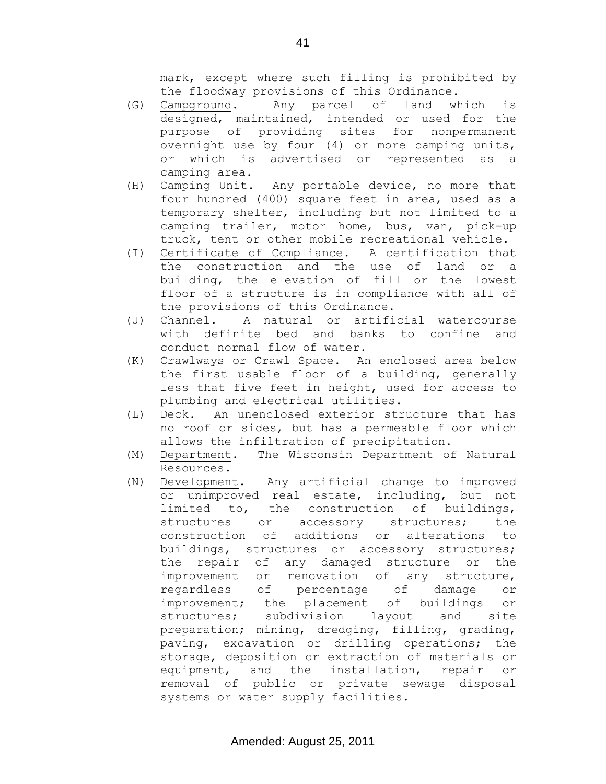mark, except where such filling is prohibited by the floodway provisions of this Ordinance.

- (G) Campground. Any parcel of land which is designed, maintained, intended or used for the purpose of providing sites for nonpermanent overnight use by four (4) or more camping units, or which is advertised or represented as a camping area.
- (H) Camping Unit. Any portable device, no more that four hundred (400) square feet in area, used as a temporary shelter, including but not limited to a camping trailer, motor home, bus, van, pick-up truck, tent or other mobile recreational vehicle.
- (I) Certificate of Compliance. A certification that the construction and the use of land or a building, the elevation of fill or the lowest floor of a structure is in compliance with all of the provisions of this Ordinance.
- (J) Channel. A natural or artificial watercourse with definite bed and banks to confine and conduct normal flow of water.
- (K) Crawlways or Crawl Space. An enclosed area below the first usable floor of a building, generally less that five feet in height, used for access to plumbing and electrical utilities.
- (L) Deck. An unenclosed exterior structure that has no roof or sides, but has a permeable floor which allows the infiltration of precipitation.
- (M) Department. The Wisconsin Department of Natural Resources.
- (N) Development. Any artificial change to improved or unimproved real estate, including, but not limited to, the construction of buildings, structures or accessory structures; the construction of additions or alterations to buildings, structures or accessory structures; the repair of any damaged structure or the improvement or renovation of any structure, regardless of percentage of damage or improvement; the placement of buildings or structures; subdivision layout and site preparation; mining, dredging, filling, grading, paving, excavation or drilling operations; the storage, deposition or extraction of materials or equipment, and the installation, repair or removal of public or private sewage disposal systems or water supply facilities.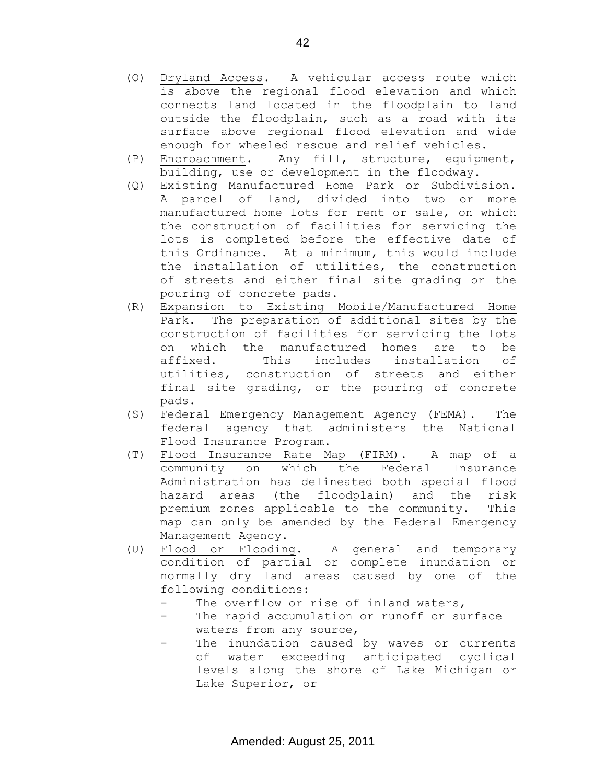- (O) Dryland Access. A vehicular access route which is above the regional flood elevation and which connects land located in the floodplain to land outside the floodplain, such as a road with its surface above regional flood elevation and wide enough for wheeled rescue and relief vehicles.
- (P) Encroachment. Any fill, structure, equipment, building, use or development in the floodway.
- (Q) Existing Manufactured Home Park or Subdivision. A parcel of land, divided into two or more manufactured home lots for rent or sale, on which the construction of facilities for servicing the lots is completed before the effective date of this Ordinance. At a minimum, this would include the installation of utilities, the construction of streets and either final site grading or the pouring of concrete pads.
- (R) Expansion to Existing Mobile/Manufactured Home Park. The preparation of additional sites by the construction of facilities for servicing the lots on which the manufactured homes are to be affixed. This includes installation of utilities, construction of streets and either final site grading, or the pouring of concrete pads.
- (S) Federal Emergency Management Agency (FEMA). The federal agency that administers the National Flood Insurance Program.
- (T) Flood Insurance Rate Map (FIRM). A map of a community on which the Federal Insurance Administration has delineated both special flood hazard areas (the floodplain) and the risk premium zones applicable to the community. This map can only be amended by the Federal Emergency Management Agency.
- (U) Flood or Flooding. A general and temporary condition of partial or complete inundation or normally dry land areas caused by one of the following conditions:
	- The overflow or rise of inland waters,
	- The rapid accumulation or runoff or surface waters from any source,
	- The inundation caused by waves or currents of water exceeding anticipated cyclical levels along the shore of Lake Michigan or Lake Superior, or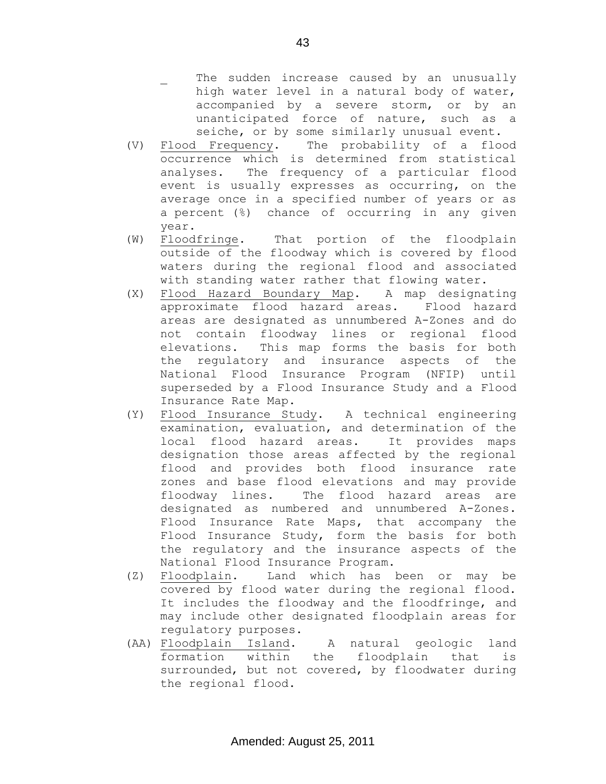43

- The sudden increase caused by an unusually high water level in a natural body of water, accompanied by a severe storm, or by an unanticipated force of nature, such as a seiche, or by some similarly unusual event.
- (V) Flood Frequency. The probability of a flood occurrence which is determined from statistical analyses. The frequency of a particular flood event is usually expresses as occurring, on the average once in a specified number of years or as a percent (%) chance of occurring in any given year.
- (W) Floodfringe. That portion of the floodplain outside of the floodway which is covered by flood waters during the regional flood and associated with standing water rather that flowing water.
- (X) Flood Hazard Boundary Map. A map designating approximate flood hazard areas. Flood hazard areas are designated as unnumbered A-Zones and do not contain floodway lines or regional flood elevations. This map forms the basis for both the regulatory and insurance aspects of the National Flood Insurance Program (NFIP) until superseded by a Flood Insurance Study and a Flood Insurance Rate Map.
- (Y) Flood Insurance Study. A technical engineering examination, evaluation, and determination of the local flood hazard areas. It provides maps designation those areas affected by the regional flood and provides both flood insurance rate zones and base flood elevations and may provide floodway lines. The flood hazard areas are designated as numbered and unnumbered A-Zones. Flood Insurance Rate Maps, that accompany the Flood Insurance Study, form the basis for both the regulatory and the insurance aspects of the National Flood Insurance Program.
- (Z) Floodplain. Land which has been or may be covered by flood water during the regional flood. It includes the floodway and the floodfringe, and may include other designated floodplain areas for regulatory purposes.
- (AA) Floodplain Island. A natural geologic land formation within the floodplain that is surrounded, but not covered, by floodwater during the regional flood.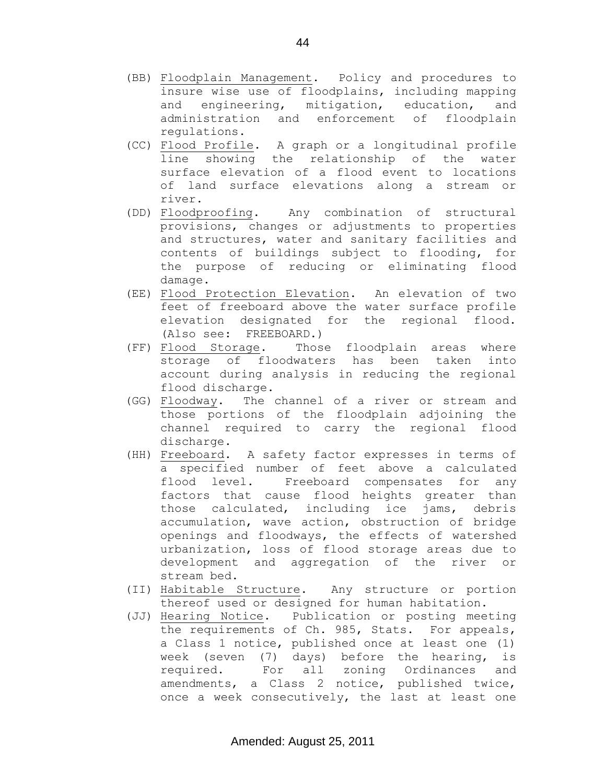- (BB) Floodplain Management. Policy and procedures to insure wise use of floodplains, including mapping and engineering, mitigation, education, and administration and enforcement of floodplain regulations.
- (CC) Flood Profile. A graph or a longitudinal profile line showing the relationship of the water surface elevation of a flood event to locations of land surface elevations along a stream or river.
- (DD) Floodproofing. Any combination of structural provisions, changes or adjustments to properties and structures, water and sanitary facilities and contents of buildings subject to flooding, for the purpose of reducing or eliminating flood damage.
- (EE) Flood Protection Elevation. An elevation of two feet of freeboard above the water surface profile elevation designated for the regional flood. (Also see: FREEBOARD.)
- (FF) Flood Storage. Those floodplain areas where storage of floodwaters has been taken into account during analysis in reducing the regional flood discharge.
- (GG) Floodway. The channel of a river or stream and those portions of the floodplain adjoining the channel required to carry the regional flood discharge.
- (HH) Freeboard. A safety factor expresses in terms of a specified number of feet above a calculated flood level. Freeboard compensates for any factors that cause flood heights greater than those calculated, including ice jams, debris accumulation, wave action, obstruction of bridge openings and floodways, the effects of watershed urbanization, loss of flood storage areas due to development and aggregation of the river or stream bed.
- (II) Habitable Structure. Any structure or portion thereof used or designed for human habitation.
- (JJ) Hearing Notice. Publication or posting meeting the requirements of Ch. 985, Stats. For appeals, a Class 1 notice, published once at least one (1) week (seven (7) days) before the hearing, is required. For all zoning Ordinances and amendments, a Class 2 notice, published twice, once a week consecutively, the last at least one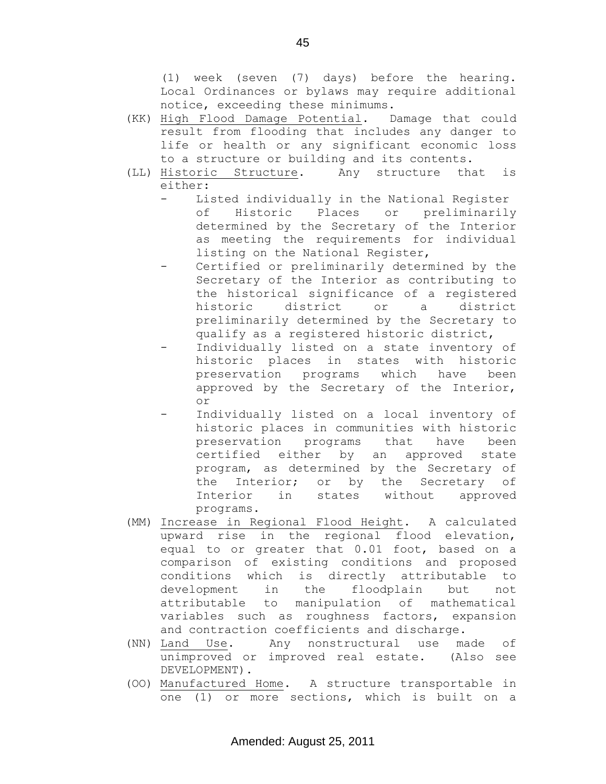(1) week (seven (7) days) before the hearing. Local Ordinances or bylaws may require additional notice, exceeding these minimums.

- (KK) High Flood Damage Potential. Damage that could result from flooding that includes any danger to life or health or any significant economic loss to a structure or building and its contents.
- (LL) Historic Structure. Any structure that is either:
	- Listed individually in the National Register of Historic Places or preliminarily determined by the Secretary of the Interior as meeting the requirements for individual listing on the National Register,
	- Certified or preliminarily determined by the Secretary of the Interior as contributing to the historical significance of a registered historic district or a district preliminarily determined by the Secretary to qualify as a registered historic district,
	- Individually listed on a state inventory of historic places in states with historic preservation programs which have been approved by the Secretary of the Interior, or
	- Individually listed on a local inventory of historic places in communities with historic preservation programs that have been certified either by an approved state program, as determined by the Secretary of the Interior; or by the Secretary of Interior in states without approved programs.
- (MM) Increase in Regional Flood Height. A calculated upward rise in the regional flood elevation, equal to or greater that 0.01 foot, based on a comparison of existing conditions and proposed conditions which is directly attributable to development in the floodplain but not attributable to manipulation of mathematical variables such as roughness factors, expansion and contraction coefficients and discharge.
- (NN) Land Use. Any nonstructural use made of unimproved or improved real estate. (Also see DEVELOPMENT).
- (OO) Manufactured Home. A structure transportable in one (1) or more sections, which is built on a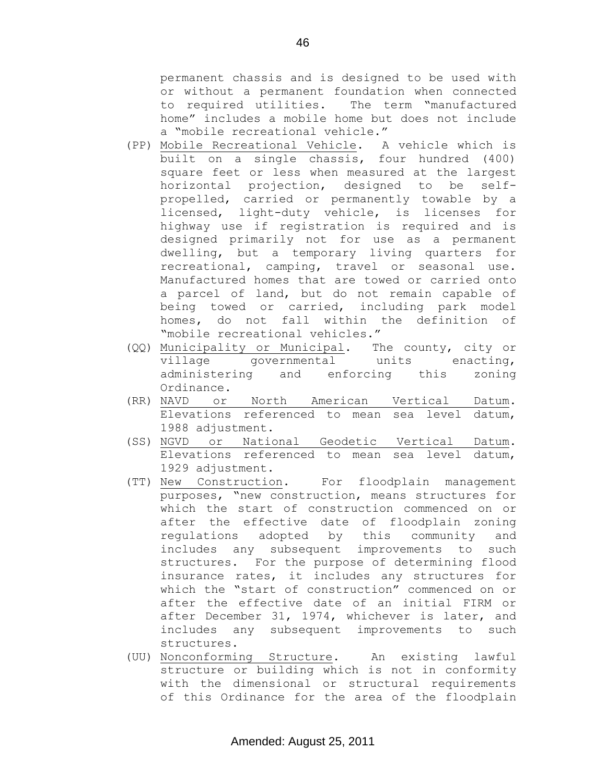permanent chassis and is designed to be used with or without a permanent foundation when connected to required utilities. The term "manufactured home" includes a mobile home but does not include a "mobile recreational vehicle."

- (PP) Mobile Recreational Vehicle. A vehicle which is built on a single chassis, four hundred (400) square feet or less when measured at the largest horizontal projection, designed to be selfpropelled, carried or permanently towable by a licensed, light-duty vehicle, is licenses for highway use if registration is required and is designed primarily not for use as a permanent dwelling, but a temporary living quarters for recreational, camping, travel or seasonal use. Manufactured homes that are towed or carried onto a parcel of land, but do not remain capable of being towed or carried, including park model homes, do not fall within the definition of "mobile recreational vehicles."
- (QQ) Municipality or Municipal. The county, city or village governmental units enacting, administering and enforcing this zoning Ordinance.
- (RR) NAVD or North American Vertical Datum. Elevations referenced to mean sea level datum, 1988 adjustment.
- (SS) NGVD or National Geodetic Vertical Datum. Elevations referenced to mean sea level datum, 1929 adjustment.
- (TT) New Construction. For floodplain management purposes, "new construction, means structures for which the start of construction commenced on or after the effective date of floodplain zoning regulations adopted by this community and includes any subsequent improvements to such structures. For the purpose of determining flood insurance rates, it includes any structures for which the "start of construction" commenced on or after the effective date of an initial FIRM or after December 31, 1974, whichever is later, and includes any subsequent improvements to such structures.
- (UU) Nonconforming Structure. An existing lawful structure or building which is not in conformity with the dimensional or structural requirements of this Ordinance for the area of the floodplain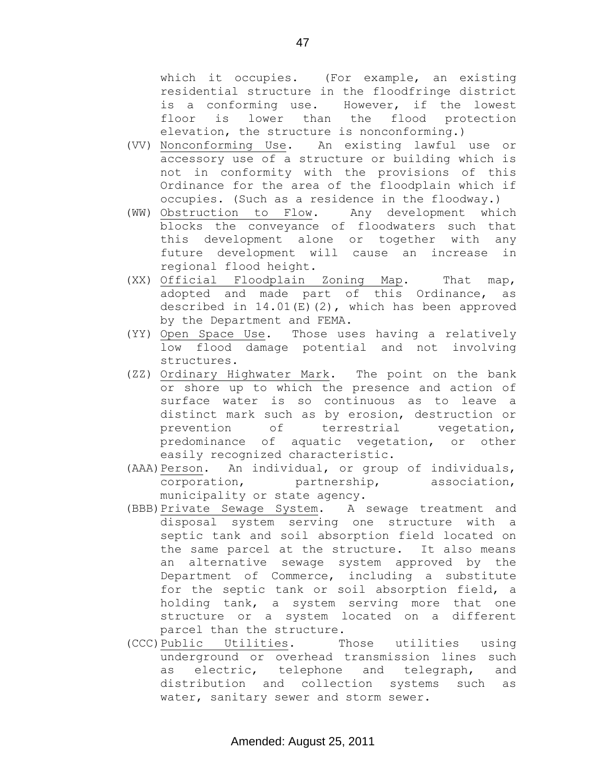which it occupies. (For example, an existing residential structure in the floodfringe district is a conforming use. However, if the lowest floor is lower than the flood protection elevation, the structure is nonconforming.)

- (VV) Nonconforming Use. An existing lawful use or accessory use of a structure or building which is not in conformity with the provisions of this Ordinance for the area of the floodplain which if occupies. (Such as a residence in the floodway.)
- (WW) Obstruction to Flow. Any development which blocks the conveyance of floodwaters such that this development alone or together with any future development will cause an increase in regional flood height.
- (XX) Official Floodplain Zoning Map. That map, adopted and made part of this Ordinance, as described in  $14.01(E)(2)$ , which has been approved by the Department and FEMA.
- (YY) Open Space Use. Those uses having a relatively low flood damage potential and not involving structures.
- (ZZ) Ordinary Highwater Mark. The point on the bank or shore up to which the presence and action of surface water is so continuous as to leave a distinct mark such as by erosion, destruction or prevention of terrestrial vegetation, predominance of aquatic vegetation, or other easily recognized characteristic.
- (AAA)Person. An individual, or group of individuals, corporation, partnership, association, municipality or state agency.
- (BBB)Private Sewage System. A sewage treatment and disposal system serving one structure with a septic tank and soil absorption field located on the same parcel at the structure. It also means an alternative sewage system approved by the Department of Commerce, including a substitute for the septic tank or soil absorption field, a holding tank, a system serving more that one structure or a system located on a different parcel than the structure.
- (CCC)Public Utilities. Those utilities using underground or overhead transmission lines such as electric, telephone and telegraph, and distribution and collection systems such as water, sanitary sewer and storm sewer.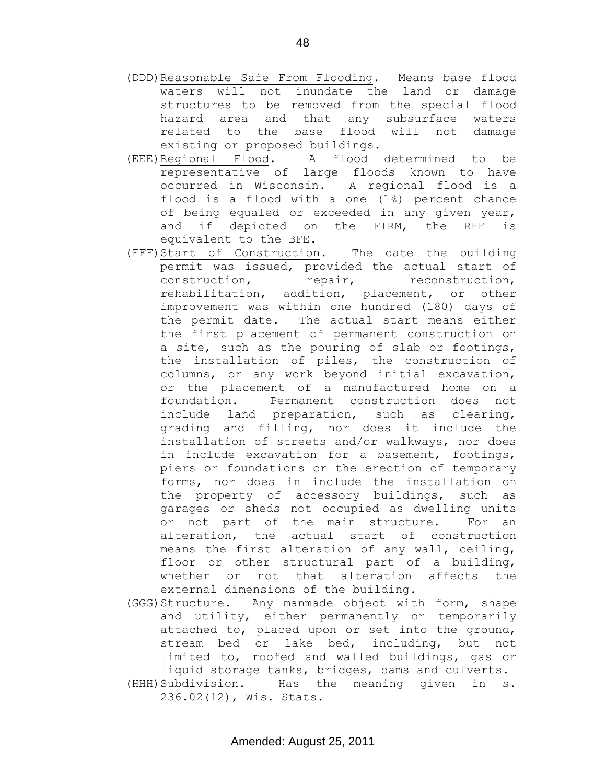- (DDD)Reasonable Safe From Flooding. Means base flood waters will not inundate the land or damage structures to be removed from the special flood hazard area and that any subsurface waters related to the base flood will not damage existing or proposed buildings.
- (EEE)Regional Flood. A flood determined to be representative of large floods known to have occurred in Wisconsin. A regional flood is a flood is a flood with a one (1%) percent chance of being equaled or exceeded in any given year, and if depicted on the FIRM, the RFE is equivalent to the BFE.
- (FFF)Start of Construction. The date the building permit was issued, provided the actual start of construction, repair, reconstruction, rehabilitation, addition, placement, or other improvement was within one hundred (180) days of the permit date. The actual start means either the first placement of permanent construction on a site, such as the pouring of slab or footings, the installation of piles, the construction of columns, or any work beyond initial excavation, or the placement of a manufactured home on a foundation. Permanent construction does not include land preparation, such as clearing, grading and filling, nor does it include the installation of streets and/or walkways, nor does in include excavation for a basement, footings, piers or foundations or the erection of temporary forms, nor does in include the installation on the property of accessory buildings, such as garages or sheds not occupied as dwelling units or not part of the main structure. For an alteration, the actual start of construction means the first alteration of any wall, ceiling, floor or other structural part of a building, whether or not that alteration affects the external dimensions of the building.
- (GGG) Structure. Any manmade object with form, shape and utility, either permanently or temporarily attached to, placed upon or set into the ground, stream bed or lake bed, including, but not limited to, roofed and walled buildings, gas or liquid storage tanks, bridges, dams and culverts. (HHH)Subdivision. Has the meaning given in s. 236.02(12), Wis. Stats.